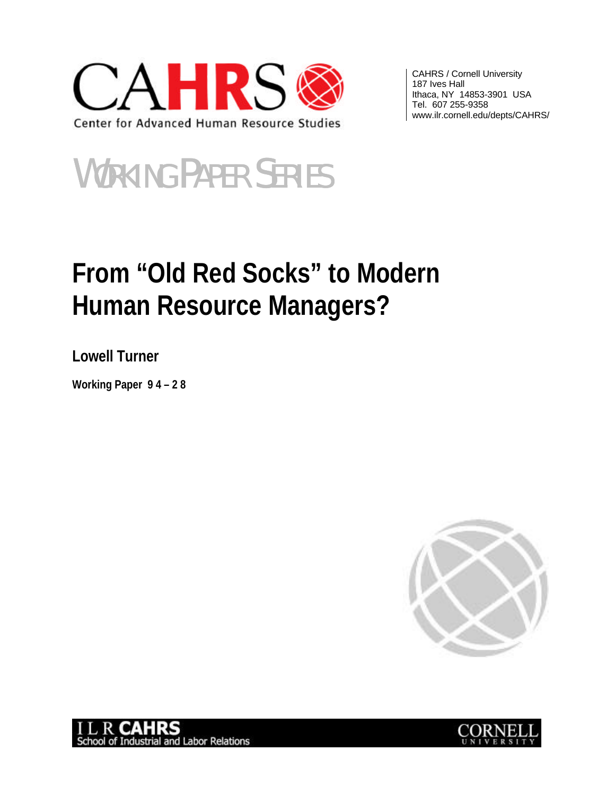

CAHRS / Cornell University 187 Ives Hall Ithaca, NY 14853-3901 USA Tel. 607 255-9358 www.ilr.cornell.edu/depts/CAHRS/

# WORKING PAPER SERIES

# **From "Old Red Socks" to Modern Human Resource Managers?**

**Lowell Turner**

**Working Paper 9 4 – 2 8**





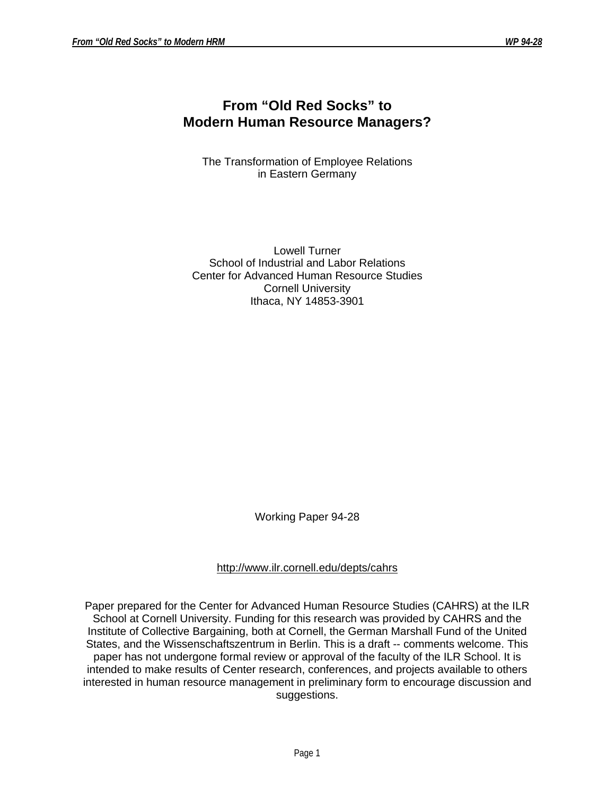# **From "Old Red Socks" to Modern Human Resource Managers?**

The Transformation of Employee Relations in Eastern Germany

Lowell Turner School of Industrial and Labor Relations Center for Advanced Human Resource Studies Cornell University Ithaca, NY 14853-3901

Working Paper 94-28

# http://www.ilr.cornell.edu/depts/cahrs

Paper prepared for the Center for Advanced Human Resource Studies (CAHRS) at the ILR School at Cornell University. Funding for this research was provided by CAHRS and the Institute of Collective Bargaining, both at Cornell, the German Marshall Fund of the United States, and the Wissenschaftszentrum in Berlin. This is a draft -- comments welcome. This paper has not undergone formal review or approval of the faculty of the ILR School. It is intended to make results of Center research, conferences, and projects available to others interested in human resource management in preliminary form to encourage discussion and suggestions.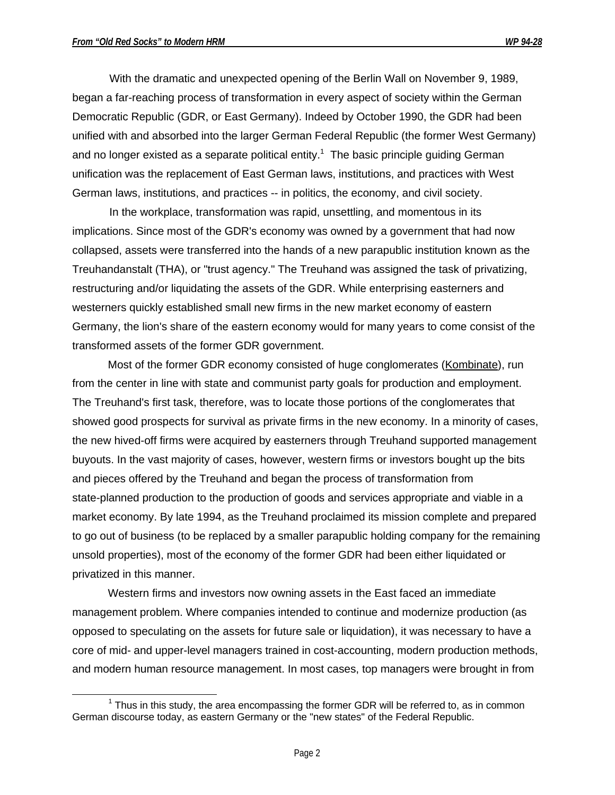With the dramatic and unexpected opening of the Berlin Wall on November 9, 1989, began a far-reaching process of transformation in every aspect of society within the German Democratic Republic (GDR, or East Germany). Indeed by October 1990, the GDR had been unified with and absorbed into the larger German Federal Republic (the former West Germany) and no longer existed as a separate political entity.<sup>1</sup> The basic principle guiding German unification was the replacement of East German laws, institutions, and practices with West German laws, institutions, and practices -- in politics, the economy, and civil society.

In the workplace, transformation was rapid, unsettling, and momentous in its implications. Since most of the GDR's economy was owned by a government that had now collapsed, assets were transferred into the hands of a new parapublic institution known as the Treuhandanstalt (THA), or "trust agency." The Treuhand was assigned the task of privatizing, restructuring and/or liquidating the assets of the GDR. While enterprising easterners and westerners quickly established small new firms in the new market economy of eastern Germany, the lion's share of the eastern economy would for many years to come consist of the transformed assets of the former GDR government.

Most of the former GDR economy consisted of huge conglomerates (Kombinate), run from the center in line with state and communist party goals for production and employment. The Treuhand's first task, therefore, was to locate those portions of the conglomerates that showed good prospects for survival as private firms in the new economy. In a minority of cases, the new hived-off firms were acquired by easterners through Treuhand supported management buyouts. In the vast majority of cases, however, western firms or investors bought up the bits and pieces offered by the Treuhand and began the process of transformation from state-planned production to the production of goods and services appropriate and viable in a market economy. By late 1994, as the Treuhand proclaimed its mission complete and prepared to go out of business (to be replaced by a smaller parapublic holding company for the remaining unsold properties), most of the economy of the former GDR had been either liquidated or privatized in this manner.

Western firms and investors now owning assets in the East faced an immediate management problem. Where companies intended to continue and modernize production (as opposed to speculating on the assets for future sale or liquidation), it was necessary to have a core of mid- and upper-level managers trained in cost-accounting, modern production methods, and modern human resource management. In most cases, top managers were brought in from

 $\overline{a}$  $1$  Thus in this study, the area encompassing the former GDR will be referred to, as in common German discourse today, as eastern Germany or the "new states" of the Federal Republic.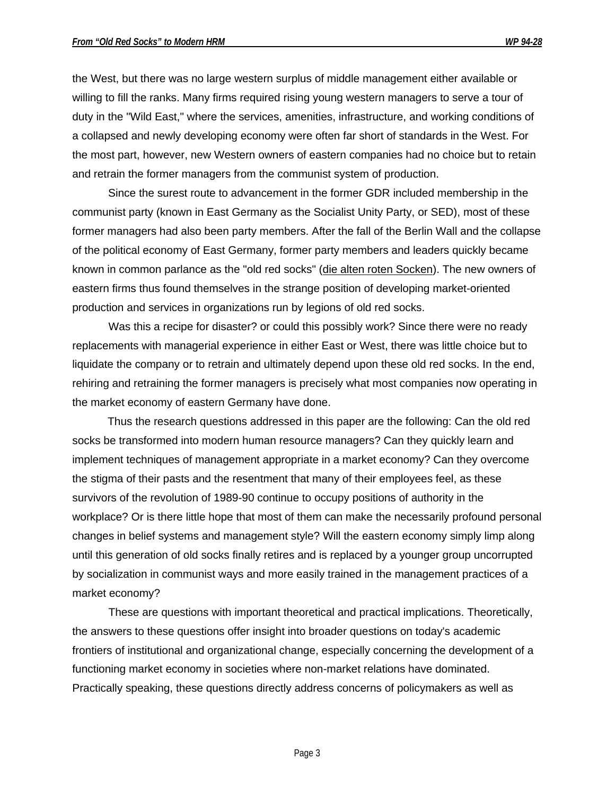the West, but there was no large western surplus of middle management either available or willing to fill the ranks. Many firms required rising young western managers to serve a tour of duty in the "Wild East," where the services, amenities, infrastructure, and working conditions of a collapsed and newly developing economy were often far short of standards in the West. For the most part, however, new Western owners of eastern companies had no choice but to retain and retrain the former managers from the communist system of production.

Since the surest route to advancement in the former GDR included membership in the communist party (known in East Germany as the Socialist Unity Party, or SED), most of these former managers had also been party members. After the fall of the Berlin Wall and the collapse of the political economy of East Germany, former party members and leaders quickly became known in common parlance as the "old red socks" (die alten roten Socken). The new owners of eastern firms thus found themselves in the strange position of developing market-oriented production and services in organizations run by legions of old red socks.

Was this a recipe for disaster? or could this possibly work? Since there were no ready replacements with managerial experience in either East or West, there was little choice but to liquidate the company or to retrain and ultimately depend upon these old red socks. In the end, rehiring and retraining the former managers is precisely what most companies now operating in the market economy of eastern Germany have done.

Thus the research questions addressed in this paper are the following: Can the old red socks be transformed into modern human resource managers? Can they quickly learn and implement techniques of management appropriate in a market economy? Can they overcome the stigma of their pasts and the resentment that many of their employees feel, as these survivors of the revolution of 1989-90 continue to occupy positions of authority in the workplace? Or is there little hope that most of them can make the necessarily profound personal changes in belief systems and management style? Will the eastern economy simply limp along until this generation of old socks finally retires and is replaced by a younger group uncorrupted by socialization in communist ways and more easily trained in the management practices of a market economy?

These are questions with important theoretical and practical implications. Theoretically, the answers to these questions offer insight into broader questions on today's academic frontiers of institutional and organizational change, especially concerning the development of a functioning market economy in societies where non-market relations have dominated. Practically speaking, these questions directly address concerns of policymakers as well as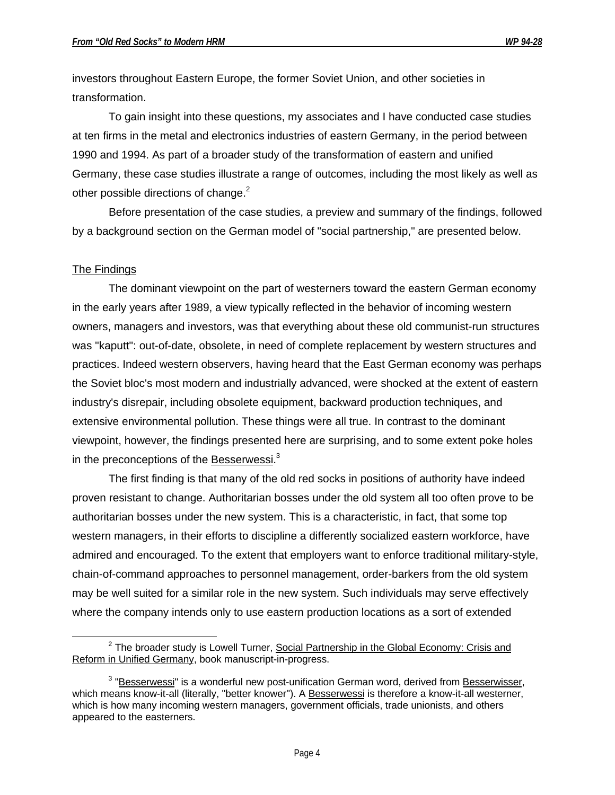investors throughout Eastern Europe, the former Soviet Union, and other societies in transformation.

To gain insight into these questions, my associates and I have conducted case studies at ten firms in the metal and electronics industries of eastern Germany, in the period between 1990 and 1994. As part of a broader study of the transformation of eastern and unified Germany, these case studies illustrate a range of outcomes, including the most likely as well as other possible directions of change.<sup>2</sup>

Before presentation of the case studies, a preview and summary of the findings, followed by a background section on the German model of "social partnership," are presented below.

## The Findings

 $\overline{a}$ 

The dominant viewpoint on the part of westerners toward the eastern German economy in the early years after 1989, a view typically reflected in the behavior of incoming western owners, managers and investors, was that everything about these old communist-run structures was "kaputt": out-of-date, obsolete, in need of complete replacement by western structures and practices. Indeed western observers, having heard that the East German economy was perhaps the Soviet bloc's most modern and industrially advanced, were shocked at the extent of eastern industry's disrepair, including obsolete equipment, backward production techniques, and extensive environmental pollution. These things were all true. In contrast to the dominant viewpoint, however, the findings presented here are surprising, and to some extent poke holes in the preconceptions of the **Besserwessi.**<sup>3</sup>

The first finding is that many of the old red socks in positions of authority have indeed proven resistant to change. Authoritarian bosses under the old system all too often prove to be authoritarian bosses under the new system. This is a characteristic, in fact, that some top western managers, in their efforts to discipline a differently socialized eastern workforce, have admired and encouraged. To the extent that employers want to enforce traditional military-style, chain-of-command approaches to personnel management, order-barkers from the old system may be well suited for a similar role in the new system. Such individuals may serve effectively where the company intends only to use eastern production locations as a sort of extended

<sup>&</sup>lt;sup>2</sup> The broader study is Lowell Turner, Social Partnership in the Global Economy: Crisis and Reform in Unified Germany, book manuscript-in-progress.

<sup>&</sup>lt;sup>3</sup> "Besserwessi" is a wonderful new post-unification German word, derived from Besserwisser, which means know-it-all (literally, "better knower"). A Besserwessi is therefore a know-it-all westerner, which is how many incoming western managers, government officials, trade unionists, and others appeared to the easterners.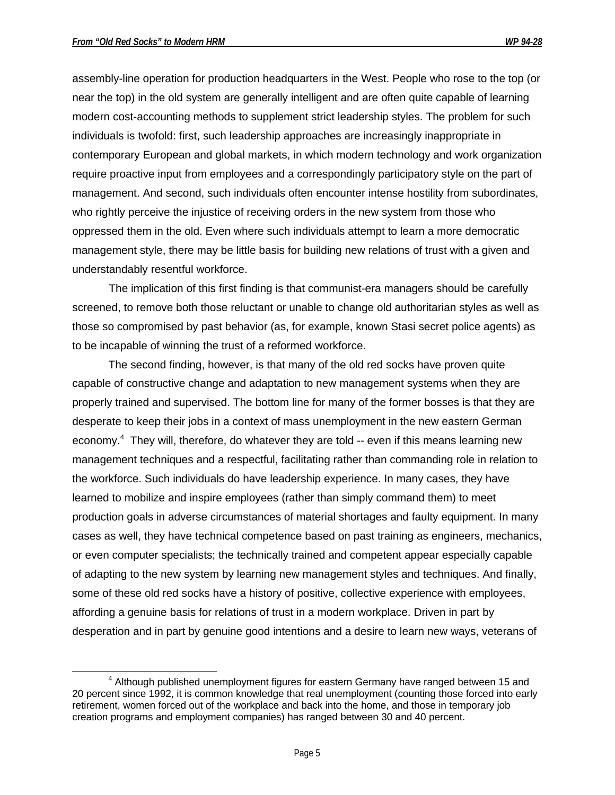$\overline{a}$ 

assembly-line operation for production headquarters in the West. People who rose to the top (or near the top) in the old system are generally intelligent and are often quite capable of learning modern cost-accounting methods to supplement strict leadership styles. The problem for such individuals is twofold: first, such leadership approaches are increasingly inappropriate in contemporary European and global markets, in which modern technology and work organization require proactive input from employees and a correspondingly participatory style on the part of management. And second, such individuals often encounter intense hostility from subordinates, who rightly perceive the injustice of receiving orders in the new system from those who oppressed them in the old. Even where such individuals attempt to learn a more democratic management style, there may be little basis for building new relations of trust with a given and understandably resentful workforce.

The implication of this first finding is that communist-era managers should be carefully screened, to remove both those reluctant or unable to change old authoritarian styles as well as those so compromised by past behavior (as, for example, known Stasi secret police agents) as to be incapable of winning the trust of a reformed workforce.

The second finding, however, is that many of the old red socks have proven quite capable of constructive change and adaptation to new management systems when they are properly trained and supervised. The bottom line for many of the former bosses is that they are desperate to keep their jobs in a context of mass unemployment in the new eastern German economy.<sup>4</sup> They will, therefore, do whatever they are told -- even if this means learning new management techniques and a respectful, facilitating rather than commanding role in relation to the workforce. Such individuals do have leadership experience. In many cases, they have learned to mobilize and inspire employees (rather than simply command them) to meet production goals in adverse circumstances of material shortages and faulty equipment. In many cases as well, they have technical competence based on past training as engineers, mechanics, or even computer specialists; the technically trained and competent appear especially capable of adapting to the new system by learning new management styles and techniques. And finally, some of these old red socks have a history of positive, collective experience with employees, affording a genuine basis for relations of trust in a modern workplace. Driven in part by desperation and in part by genuine good intentions and a desire to learn new ways, veterans of

<sup>&</sup>lt;sup>4</sup> Although published unemployment figures for eastern Germany have ranged between 15 and 20 percent since 1992, it is common knowledge that real unemployment (counting those forced into early retirement, women forced out of the workplace and back into the home, and those in temporary job creation programs and employment companies) has ranged between 30 and 40 percent.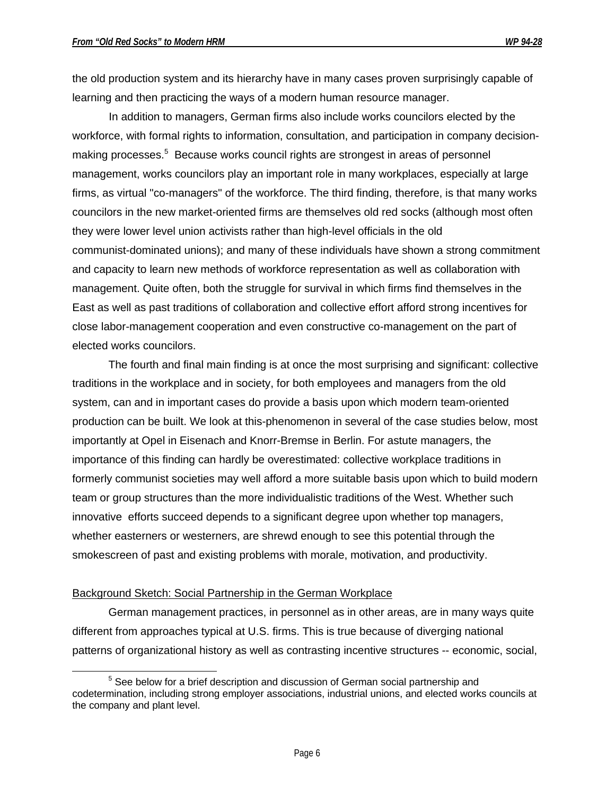the old production system and its hierarchy have in many cases proven surprisingly capable of learning and then practicing the ways of a modern human resource manager.

In addition to managers, German firms also include works councilors elected by the workforce, with formal rights to information, consultation, and participation in company decisionmaking processes.<sup>5</sup> Because works council rights are strongest in areas of personnel management, works councilors play an important role in many workplaces, especially at large firms, as virtual "co-managers" of the workforce. The third finding, therefore, is that many works councilors in the new market-oriented firms are themselves old red socks (although most often they were lower level union activists rather than high-level officials in the old communist-dominated unions); and many of these individuals have shown a strong commitment and capacity to learn new methods of workforce representation as well as collaboration with management. Quite often, both the struggle for survival in which firms find themselves in the East as well as past traditions of collaboration and collective effort afford strong incentives for close labor-management cooperation and even constructive co-management on the part of elected works councilors.

The fourth and final main finding is at once the most surprising and significant: collective traditions in the workplace and in society, for both employees and managers from the old system, can and in important cases do provide a basis upon which modern team-oriented production can be built. We look at this-phenomenon in several of the case studies below, most importantly at Opel in Eisenach and Knorr-Bremse in Berlin. For astute managers, the importance of this finding can hardly be overestimated: collective workplace traditions in formerly communist societies may well afford a more suitable basis upon which to build modern team or group structures than the more individualistic traditions of the West. Whether such innovative efforts succeed depends to a significant degree upon whether top managers, whether easterners or westerners, are shrewd enough to see this potential through the smokescreen of past and existing problems with morale, motivation, and productivity.

#### Background Sketch: Social Partnership in the German Workplace

German management practices, in personnel as in other areas, are in many ways quite different from approaches typical at U.S. firms. This is true because of diverging national patterns of organizational history as well as contrasting incentive structures -- economic, social,

 $\overline{a}$ <sup>5</sup> See below for a brief description and discussion of German social partnership and codetermination, including strong employer associations, industrial unions, and elected works councils at the company and plant level.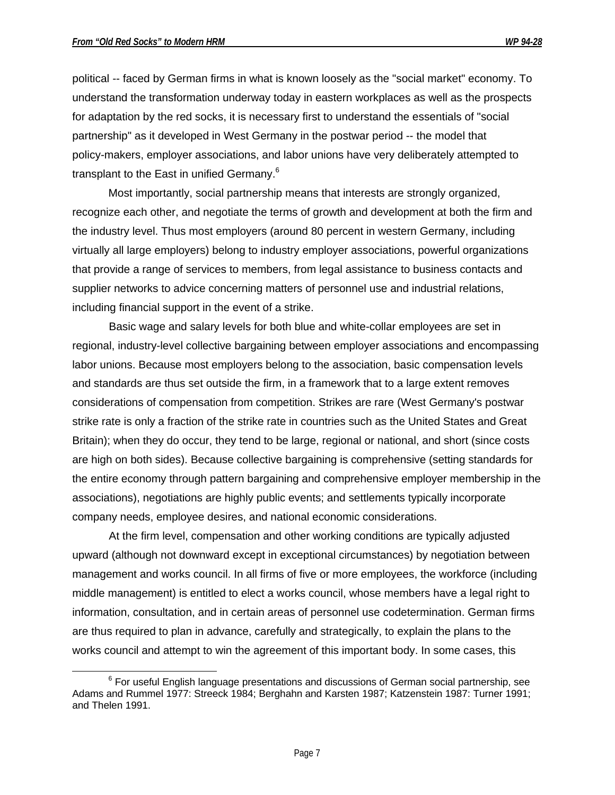$\overline{a}$ 

political -- faced by German firms in what is known loosely as the "social market" economy. To understand the transformation underway today in eastern workplaces as well as the prospects for adaptation by the red socks, it is necessary first to understand the essentials of "social partnership" as it developed in West Germany in the postwar period -- the model that policy-makers, employer associations, and labor unions have very deliberately attempted to transplant to the East in unified Germany.<sup>6</sup>

Most importantly, social partnership means that interests are strongly organized, recognize each other, and negotiate the terms of growth and development at both the firm and the industry level. Thus most employers (around 80 percent in western Germany, including virtually all large employers) belong to industry employer associations, powerful organizations that provide a range of services to members, from legal assistance to business contacts and supplier networks to advice concerning matters of personnel use and industrial relations, including financial support in the event of a strike.

Basic wage and salary levels for both blue and white-collar employees are set in regional, industry-level collective bargaining between employer associations and encompassing labor unions. Because most employers belong to the association, basic compensation levels and standards are thus set outside the firm, in a framework that to a large extent removes considerations of compensation from competition. Strikes are rare (West Germany's postwar strike rate is only a fraction of the strike rate in countries such as the United States and Great Britain); when they do occur, they tend to be large, regional or national, and short (since costs are high on both sides). Because collective bargaining is comprehensive (setting standards for the entire economy through pattern bargaining and comprehensive employer membership in the associations), negotiations are highly public events; and settlements typically incorporate company needs, employee desires, and national economic considerations.

At the firm level, compensation and other working conditions are typically adjusted upward (although not downward except in exceptional circumstances) by negotiation between management and works council. In all firms of five or more employees, the workforce (including middle management) is entitled to elect a works council, whose members have a legal right to information, consultation, and in certain areas of personnel use codetermination. German firms are thus required to plan in advance, carefully and strategically, to explain the plans to the works council and attempt to win the agreement of this important body. In some cases, this

 $^6$  For useful English language presentations and discussions of German social partnership, see Adams and Rummel 1977: Streeck 1984; Berghahn and Karsten 1987; Katzenstein 1987: Turner 1991; and Thelen 1991.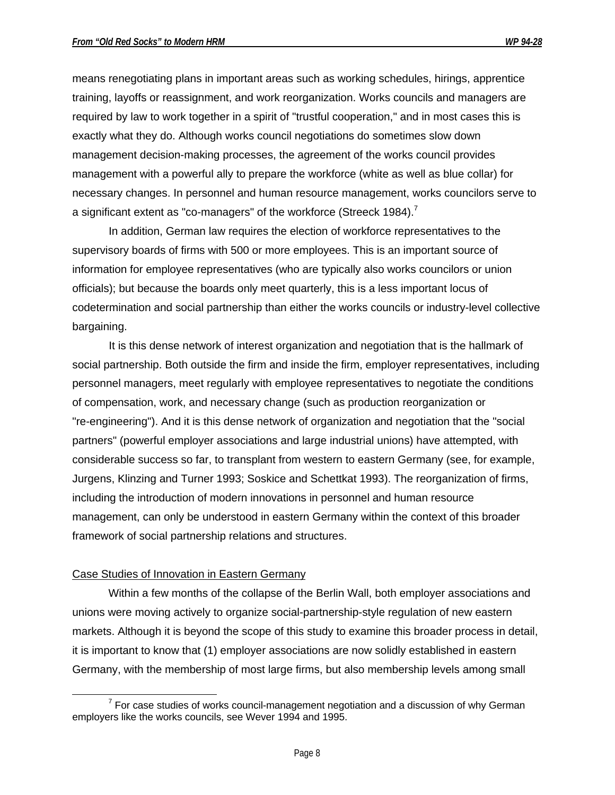means renegotiating plans in important areas such as working schedules, hirings, apprentice training, layoffs or reassignment, and work reorganization. Works councils and managers are required by law to work together in a spirit of "trustful cooperation," and in most cases this is exactly what they do. Although works council negotiations do sometimes slow down management decision-making processes, the agreement of the works council provides management with a powerful ally to prepare the workforce (white as well as blue collar) for necessary changes. In personnel and human resource management, works councilors serve to a significant extent as "co-managers" of the workforce (Streeck 1984).<sup>7</sup>

In addition, German law requires the election of workforce representatives to the supervisory boards of firms with 500 or more employees. This is an important source of information for employee representatives (who are typically also works councilors or union officials); but because the boards only meet quarterly, this is a less important locus of codetermination and social partnership than either the works councils or industry-level collective bargaining.

It is this dense network of interest organization and negotiation that is the hallmark of social partnership. Both outside the firm and inside the firm, employer representatives, including personnel managers, meet regularly with employee representatives to negotiate the conditions of compensation, work, and necessary change (such as production reorganization or "re-engineering"). And it is this dense network of organization and negotiation that the "social partners" (powerful employer associations and large industrial unions) have attempted, with considerable success so far, to transplant from western to eastern Germany (see, for example, Jurgens, Klinzing and Turner 1993; Soskice and Schettkat 1993). The reorganization of firms, including the introduction of modern innovations in personnel and human resource management, can only be understood in eastern Germany within the context of this broader framework of social partnership relations and structures.

#### Case Studies of Innovation in Eastern Germany

 $\overline{a}$ 

Within a few months of the collapse of the Berlin Wall, both employer associations and unions were moving actively to organize social-partnership-style regulation of new eastern markets. Although it is beyond the scope of this study to examine this broader process in detail, it is important to know that (1) employer associations are now solidly established in eastern Germany, with the membership of most large firms, but also membership levels among small

 $7$  For case studies of works council-management negotiation and a discussion of why German employers like the works councils, see Wever 1994 and 1995.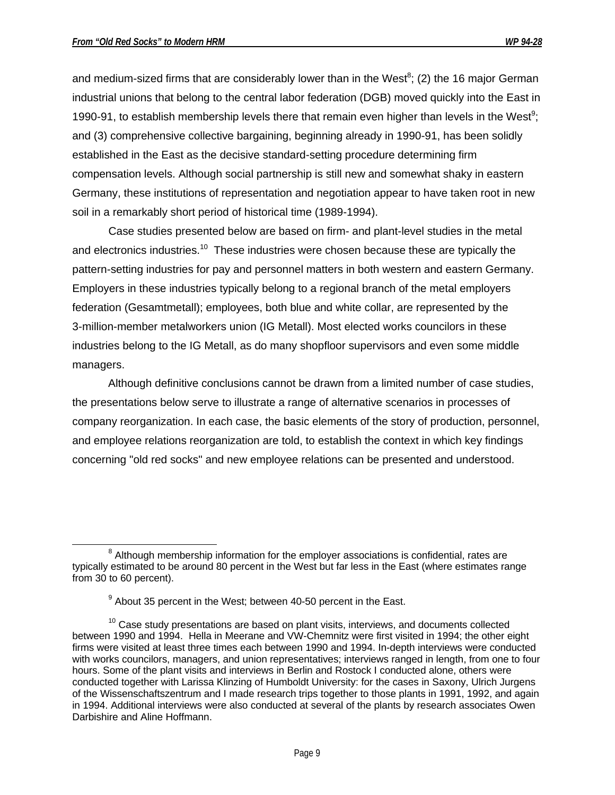and medium-sized firms that are considerably lower than in the West<sup>8</sup>; (2) the 16 major German industrial unions that belong to the central labor federation (DGB) moved quickly into the East in 1990-91, to establish membership levels there that remain even higher than levels in the West<sup>9</sup>; and (3) comprehensive collective bargaining, beginning already in 1990-91, has been solidly established in the East as the decisive standard-setting procedure determining firm compensation levels. Although social partnership is still new and somewhat shaky in eastern Germany, these institutions of representation and negotiation appear to have taken root in new soil in a remarkably short period of historical time (1989-1994).

Case studies presented below are based on firm- and plant-level studies in the metal and electronics industries.<sup>10</sup> These industries were chosen because these are typically the pattern-setting industries for pay and personnel matters in both western and eastern Germany. Employers in these industries typically belong to a regional branch of the metal employers federation (Gesamtmetall); employees, both blue and white collar, are represented by the 3-million-member metalworkers union (IG Metall). Most elected works councilors in these industries belong to the IG Metall, as do many shopfloor supervisors and even some middle managers.

Although definitive conclusions cannot be drawn from a limited number of case studies, the presentations below serve to illustrate a range of alternative scenarios in processes of company reorganization. In each case, the basic elements of the story of production, personnel, and employee relations reorganization are told, to establish the context in which key findings concerning "old red socks" and new employee relations can be presented and understood.

 $\overline{a}$  $8$  Although membership information for the employer associations is confidential, rates are typically estimated to be around 80 percent in the West but far less in the East (where estimates range from 30 to 60 percent).

 $9$  About 35 percent in the West; between 40-50 percent in the East.

 $10$  Case study presentations are based on plant visits, interviews, and documents collected between 1990 and 1994. Hella in Meerane and VW-Chemnitz were first visited in 1994; the other eight firms were visited at least three times each between 1990 and 1994. In-depth interviews were conducted with works councilors, managers, and union representatives; interviews ranged in length, from one to four hours. Some of the plant visits and interviews in Berlin and Rostock I conducted alone, others were conducted together with Larissa Klinzing of Humboldt University: for the cases in Saxony, Ulrich Jurgens of the Wissenschaftszentrum and I made research trips together to those plants in 1991, 1992, and again in 1994. Additional interviews were also conducted at several of the plants by research associates Owen Darbishire and Aline Hoffmann.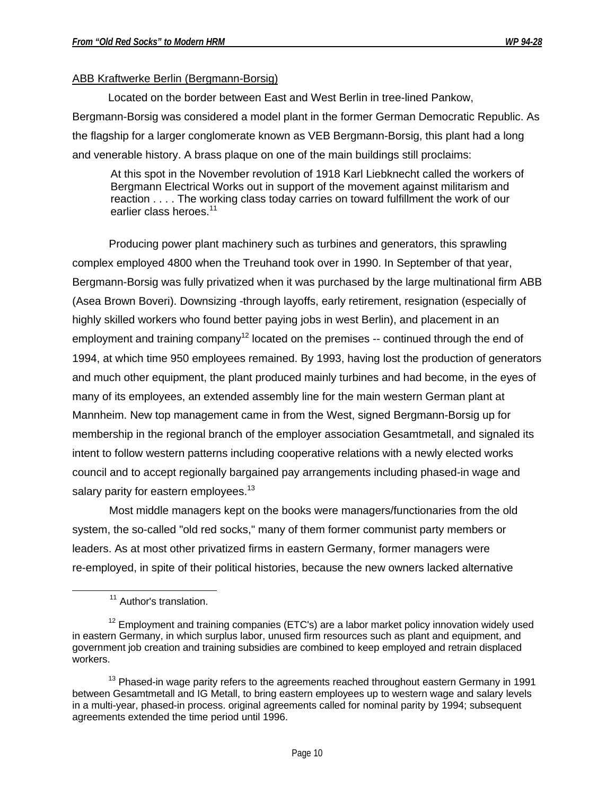# ABB Kraftwerke Berlin (Bergmann-Borsig)

Located on the border between East and West Berlin in tree-lined Pankow, Bergmann-Borsig was considered a model plant in the former German Democratic Republic. As the flagship for a larger conglomerate known as VEB Bergmann-Borsig, this plant had a long and venerable history. A brass plaque on one of the main buildings still proclaims:

At this spot in the November revolution of 1918 Karl Liebknecht called the workers of Bergmann Electrical Works out in support of the movement against militarism and reaction . . . . The working class today carries on toward fulfillment the work of our earlier class heroes. $11$ 

Producing power plant machinery such as turbines and generators, this sprawling complex employed 4800 when the Treuhand took over in 1990. In September of that year, Bergmann-Borsig was fully privatized when it was purchased by the large multinational firm ABB (Asea Brown Boveri). Downsizing -through layoffs, early retirement, resignation (especially of highly skilled workers who found better paying jobs in west Berlin), and placement in an employment and training company<sup>12</sup> located on the premises  $-$  continued through the end of 1994, at which time 950 employees remained. By 1993, having lost the production of generators and much other equipment, the plant produced mainly turbines and had become, in the eyes of many of its employees, an extended assembly line for the main western German plant at Mannheim. New top management came in from the West, signed Bergmann-Borsig up for membership in the regional branch of the employer association Gesamtmetall, and signaled its intent to follow western patterns including cooperative relations with a newly elected works council and to accept regionally bargained pay arrangements including phased-in wage and salary parity for eastern employees.<sup>13</sup>

Most middle managers kept on the books were managers/functionaries from the old system, the so-called "old red socks," many of them former communist party members or leaders. As at most other privatized firms in eastern Germany, former managers were re-employed, in spite of their political histories, because the new owners lacked alternative

-

<sup>&</sup>lt;sup>11</sup> Author's translation.

 $12$  Employment and training companies (ETC's) are a labor market policy innovation widely used in eastern Germany, in which surplus labor, unused firm resources such as plant and equipment, and government job creation and training subsidies are combined to keep employed and retrain displaced workers.

 $13$  Phased-in wage parity refers to the agreements reached throughout eastern Germany in 1991 between Gesamtmetall and IG Metall, to bring eastern employees up to western wage and salary levels in a multi-year, phased-in process. original agreements called for nominal parity by 1994; subsequent agreements extended the time period until 1996.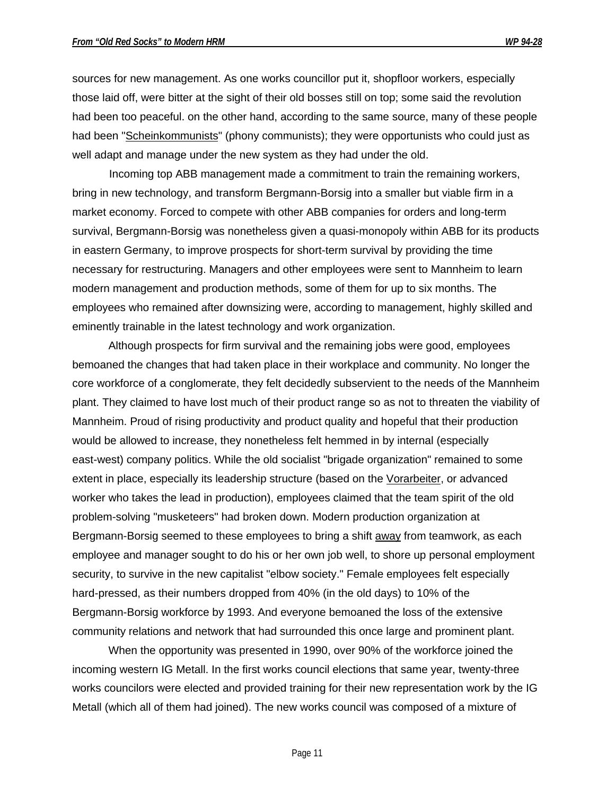sources for new management. As one works councillor put it, shopfloor workers, especially those laid off, were bitter at the sight of their old bosses still on top; some said the revolution had been too peaceful. on the other hand, according to the same source, many of these people had been "Scheinkommunists" (phony communists); they were opportunists who could just as well adapt and manage under the new system as they had under the old.

Incoming top ABB management made a commitment to train the remaining workers, bring in new technology, and transform Bergmann-Borsig into a smaller but viable firm in a market economy. Forced to compete with other ABB companies for orders and long-term survival, Bergmann-Borsig was nonetheless given a quasi-monopoly within ABB for its products in eastern Germany, to improve prospects for short-term survival by providing the time necessary for restructuring. Managers and other employees were sent to Mannheim to learn modern management and production methods, some of them for up to six months. The employees who remained after downsizing were, according to management, highly skilled and eminently trainable in the latest technology and work organization.

Although prospects for firm survival and the remaining jobs were good, employees bemoaned the changes that had taken place in their workplace and community. No longer the core workforce of a conglomerate, they felt decidedly subservient to the needs of the Mannheim plant. They claimed to have lost much of their product range so as not to threaten the viability of Mannheim. Proud of rising productivity and product quality and hopeful that their production would be allowed to increase, they nonetheless felt hemmed in by internal (especially east-west) company politics. While the old socialist "brigade organization" remained to some extent in place, especially its leadership structure (based on the Vorarbeiter, or advanced worker who takes the lead in production), employees claimed that the team spirit of the old problem-solving "musketeers" had broken down. Modern production organization at Bergmann-Borsig seemed to these employees to bring a shift away from teamwork, as each employee and manager sought to do his or her own job well, to shore up personal employment security, to survive in the new capitalist "elbow society." Female employees felt especially hard-pressed, as their numbers dropped from 40% (in the old days) to 10% of the Bergmann-Borsig workforce by 1993. And everyone bemoaned the loss of the extensive community relations and network that had surrounded this once large and prominent plant.

When the opportunity was presented in 1990, over 90% of the workforce joined the incoming western IG Metall. In the first works council elections that same year, twenty-three works councilors were elected and provided training for their new representation work by the IG Metall (which all of them had joined). The new works council was composed of a mixture of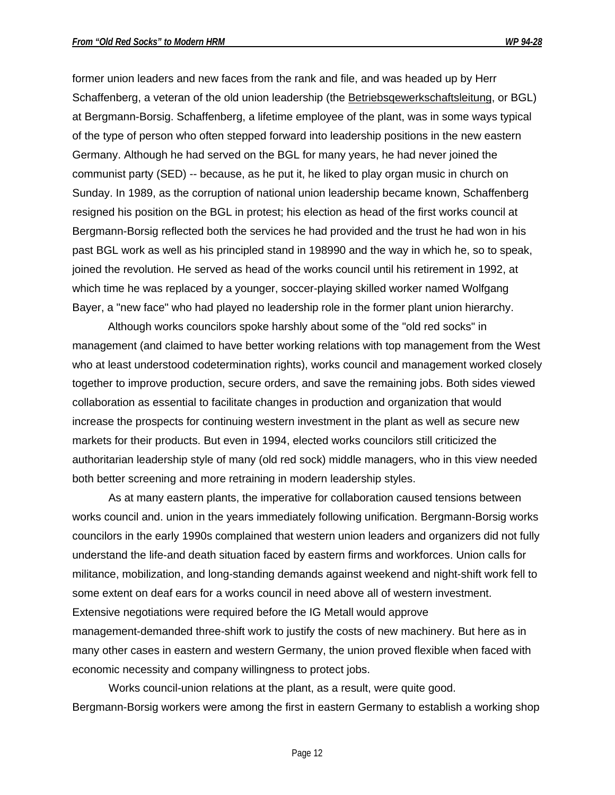former union leaders and new faces from the rank and file, and was headed up by Herr Schaffenberg, a veteran of the old union leadership (the Betriebsqewerkschaftsleitung, or BGL) at Bergmann-Borsig. Schaffenberg, a lifetime employee of the plant, was in some ways typical of the type of person who often stepped forward into leadership positions in the new eastern Germany. Although he had served on the BGL for many years, he had never joined the communist party (SED) -- because, as he put it, he liked to play organ music in church on Sunday. In 1989, as the corruption of national union leadership became known, Schaffenberg resigned his position on the BGL in protest; his election as head of the first works council at Bergmann-Borsig reflected both the services he had provided and the trust he had won in his past BGL work as well as his principled stand in 198990 and the way in which he, so to speak, joined the revolution. He served as head of the works council until his retirement in 1992, at which time he was replaced by a younger, soccer-playing skilled worker named Wolfgang Bayer, a "new face" who had played no leadership role in the former plant union hierarchy.

Although works councilors spoke harshly about some of the "old red socks" in management (and claimed to have better working relations with top management from the West who at least understood codetermination rights), works council and management worked closely together to improve production, secure orders, and save the remaining jobs. Both sides viewed collaboration as essential to facilitate changes in production and organization that would increase the prospects for continuing western investment in the plant as well as secure new markets for their products. But even in 1994, elected works councilors still criticized the authoritarian leadership style of many (old red sock) middle managers, who in this view needed both better screening and more retraining in modern leadership styles.

As at many eastern plants, the imperative for collaboration caused tensions between works council and. union in the years immediately following unification. Bergmann-Borsig works councilors in the early 1990s complained that western union leaders and organizers did not fully understand the life-and death situation faced by eastern firms and workforces. Union calls for militance, mobilization, and long-standing demands against weekend and night-shift work fell to some extent on deaf ears for a works council in need above all of western investment. Extensive negotiations were required before the IG Metall would approve management-demanded three-shift work to justify the costs of new machinery. But here as in many other cases in eastern and western Germany, the union proved flexible when faced with economic necessity and company willingness to protect jobs.

Works council-union relations at the plant, as a result, were quite good. Bergmann-Borsig workers were among the first in eastern Germany to establish a working shop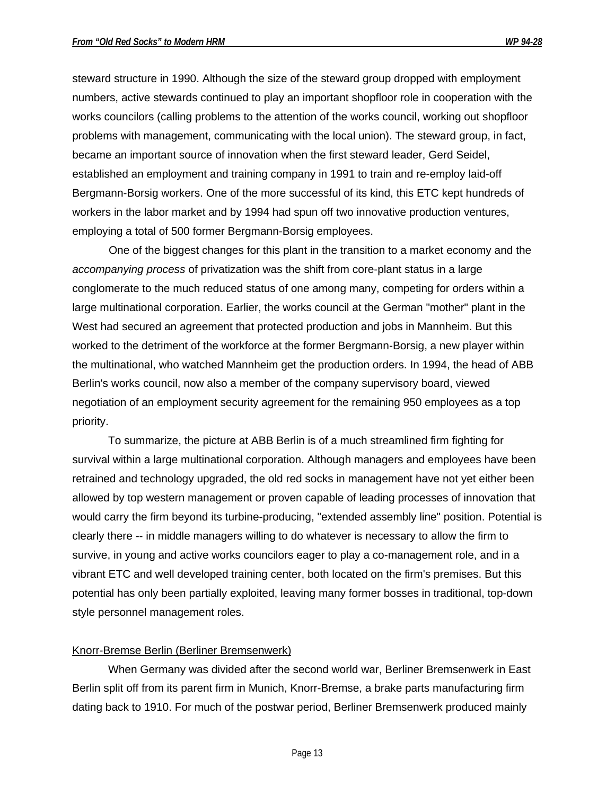steward structure in 1990. Although the size of the steward group dropped with employment numbers, active stewards continued to play an important shopfloor role in cooperation with the works councilors (calling problems to the attention of the works council, working out shopfloor problems with management, communicating with the local union). The steward group, in fact, became an important source of innovation when the first steward leader, Gerd Seidel, established an employment and training company in 1991 to train and re-employ laid-off Bergmann-Borsig workers. One of the more successful of its kind, this ETC kept hundreds of workers in the labor market and by 1994 had spun off two innovative production ventures, employing a total of 500 former Bergmann-Borsig employees.

One of the biggest changes for this plant in the transition to a market economy and the *accompanying process* of privatization was the shift from core-plant status in a large conglomerate to the much reduced status of one among many, competing for orders within a large multinational corporation. Earlier, the works council at the German "mother" plant in the West had secured an agreement that protected production and jobs in Mannheim. But this worked to the detriment of the workforce at the former Bergmann-Borsig, a new player within the multinational, who watched Mannheim get the production orders. In 1994, the head of ABB Berlin's works council, now also a member of the company supervisory board, viewed negotiation of an employment security agreement for the remaining 950 employees as a top priority.

To summarize, the picture at ABB Berlin is of a much streamlined firm fighting for survival within a large multinational corporation. Although managers and employees have been retrained and technology upgraded, the old red socks in management have not yet either been allowed by top western management or proven capable of leading processes of innovation that would carry the firm beyond its turbine-producing, "extended assembly line" position. Potential is clearly there -- in middle managers willing to do whatever is necessary to allow the firm to survive, in young and active works councilors eager to play a co-management role, and in a vibrant ETC and well developed training center, both located on the firm's premises. But this potential has only been partially exploited, leaving many former bosses in traditional, top-down style personnel management roles.

#### Knorr-Bremse Berlin (Berliner Bremsenwerk)

When Germany was divided after the second world war, Berliner Bremsenwerk in East Berlin split off from its parent firm in Munich, Knorr-Bremse, a brake parts manufacturing firm dating back to 1910. For much of the postwar period, Berliner Bremsenwerk produced mainly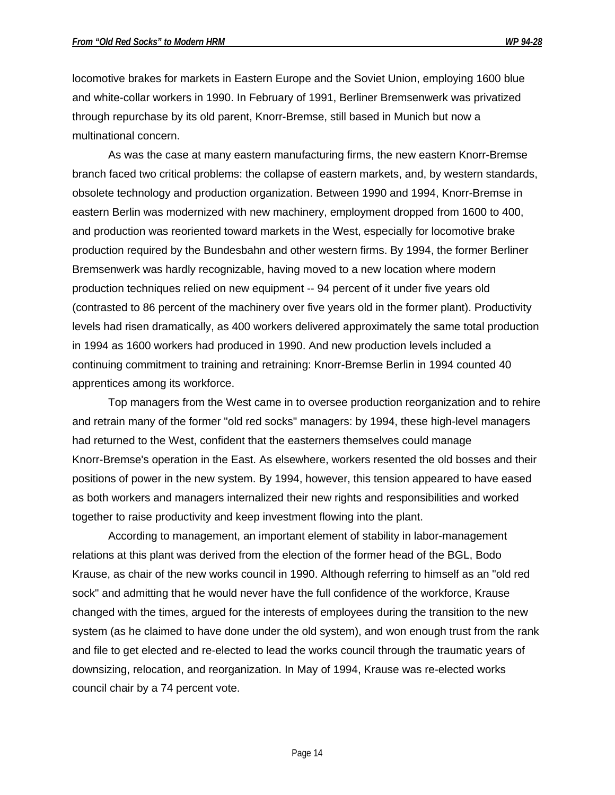locomotive brakes for markets in Eastern Europe and the Soviet Union, employing 1600 blue and white-collar workers in 1990. In February of 1991, Berliner Bremsenwerk was privatized through repurchase by its old parent, Knorr-Bremse, still based in Munich but now a multinational concern.

As was the case at many eastern manufacturing firms, the new eastern Knorr-Bremse branch faced two critical problems: the collapse of eastern markets, and, by western standards, obsolete technology and production organization. Between 1990 and 1994, Knorr-Bremse in eastern Berlin was modernized with new machinery, employment dropped from 1600 to 400, and production was reoriented toward markets in the West, especially for locomotive brake production required by the Bundesbahn and other western firms. By 1994, the former Berliner Bremsenwerk was hardly recognizable, having moved to a new location where modern production techniques relied on new equipment -- 94 percent of it under five years old (contrasted to 86 percent of the machinery over five years old in the former plant). Productivity levels had risen dramatically, as 400 workers delivered approximately the same total production in 1994 as 1600 workers had produced in 1990. And new production levels included a continuing commitment to training and retraining: Knorr-Bremse Berlin in 1994 counted 40 apprentices among its workforce.

Top managers from the West came in to oversee production reorganization and to rehire and retrain many of the former "old red socks" managers: by 1994, these high-level managers had returned to the West, confident that the easterners themselves could manage Knorr-Bremse's operation in the East. As elsewhere, workers resented the old bosses and their positions of power in the new system. By 1994, however, this tension appeared to have eased as both workers and managers internalized their new rights and responsibilities and worked together to raise productivity and keep investment flowing into the plant.

According to management, an important element of stability in labor-management relations at this plant was derived from the election of the former head of the BGL, Bodo Krause, as chair of the new works council in 1990. Although referring to himself as an "old red sock" and admitting that he would never have the full confidence of the workforce, Krause changed with the times, argued for the interests of employees during the transition to the new system (as he claimed to have done under the old system), and won enough trust from the rank and file to get elected and re-elected to lead the works council through the traumatic years of downsizing, relocation, and reorganization. In May of 1994, Krause was re-elected works council chair by a 74 percent vote.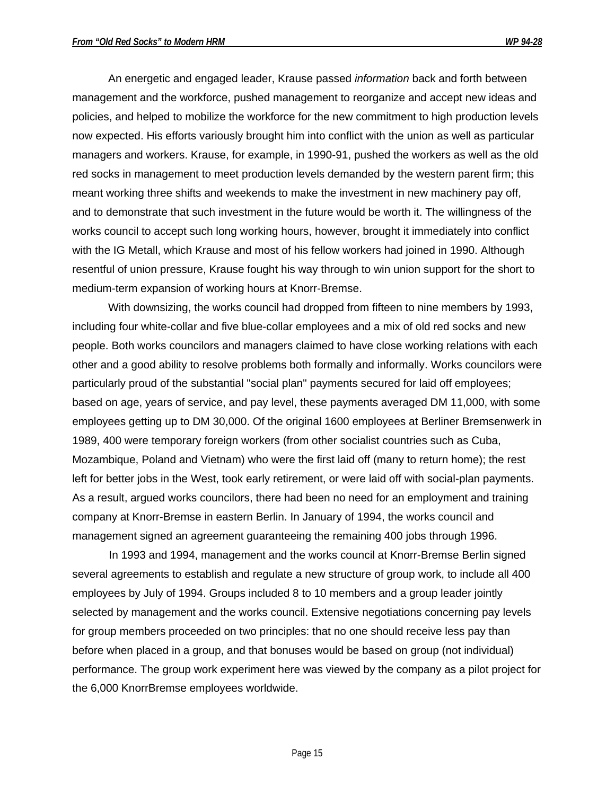An energetic and engaged leader, Krause passed *information* back and forth between management and the workforce, pushed management to reorganize and accept new ideas and policies, and helped to mobilize the workforce for the new commitment to high production levels now expected. His efforts variously brought him into conflict with the union as well as particular managers and workers. Krause, for example, in 1990-91, pushed the workers as well as the old red socks in management to meet production levels demanded by the western parent firm; this meant working three shifts and weekends to make the investment in new machinery pay off, and to demonstrate that such investment in the future would be worth it. The willingness of the works council to accept such long working hours, however, brought it immediately into conflict with the IG Metall, which Krause and most of his fellow workers had joined in 1990. Although resentful of union pressure, Krause fought his way through to win union support for the short to medium-term expansion of working hours at Knorr-Bremse.

With downsizing, the works council had dropped from fifteen to nine members by 1993, including four white-collar and five blue-collar employees and a mix of old red socks and new people. Both works councilors and managers claimed to have close working relations with each other and a good ability to resolve problems both formally and informally. Works councilors were particularly proud of the substantial "social plan" payments secured for laid off employees; based on age, years of service, and pay level, these payments averaged DM 11,000, with some employees getting up to DM 30,000. Of the original 1600 employees at Berliner Bremsenwerk in 1989, 400 were temporary foreign workers (from other socialist countries such as Cuba, Mozambique, Poland and Vietnam) who were the first laid off (many to return home); the rest left for better jobs in the West, took early retirement, or were laid off with social-plan payments. As a result, argued works councilors, there had been no need for an employment and training company at Knorr-Bremse in eastern Berlin. In January of 1994, the works council and management signed an agreement guaranteeing the remaining 400 jobs through 1996.

In 1993 and 1994, management and the works council at Knorr-Bremse Berlin signed several agreements to establish and regulate a new structure of group work, to include all 400 employees by July of 1994. Groups included 8 to 10 members and a group leader jointly selected by management and the works council. Extensive negotiations concerning pay levels for group members proceeded on two principles: that no one should receive less pay than before when placed in a group, and that bonuses would be based on group (not individual) performance. The group work experiment here was viewed by the company as a pilot project for the 6,000 KnorrBremse employees worldwide.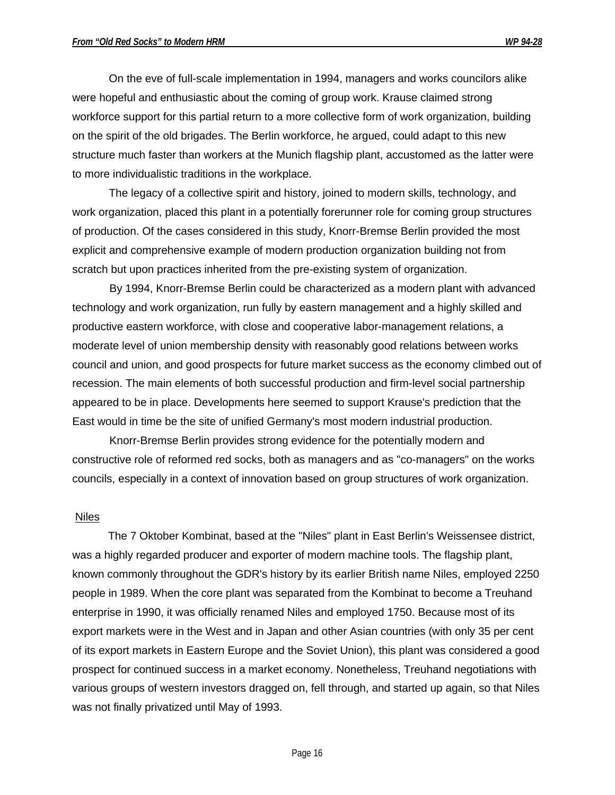On the eve of full-scale implementation in 1994, managers and works councilors alike were hopeful and enthusiastic about the coming of group work. Krause claimed strong workforce support for this partial return to a more collective form of work organization, building on the spirit of the old brigades. The Berlin workforce, he argued, could adapt to this new structure much faster than workers at the Munich flagship plant, accustomed as the latter were to more individualistic traditions in the workplace.

The legacy of a collective spirit and history, joined to modern skills, technology, and work organization, placed this plant in a potentially forerunner role for coming group structures of production. Of the cases considered in this study, Knorr-Bremse Berlin provided the most explicit and comprehensive example of modern production organization building not from scratch but upon practices inherited from the pre-existing system of organization.

By 1994, Knorr-Bremse Berlin could be characterized as a modern plant with advanced technology and work organization, run fully by eastern management and a highly skilled and productive eastern workforce, with close and cooperative labor-management relations, a moderate level of union membership density with reasonably good relations between works council and union, and good prospects for future market success as the economy climbed out of recession. The main elements of both successful production and firm-level social partnership appeared to be in place. Developments here seemed to support Krause's prediction that the East would in time be the site of unified Germany's most modern industrial production.

Knorr-Bremse Berlin provides strong evidence for the potentially modern and constructive role of reformed red socks, both as managers and as "co-managers" on the works councils, especially in a context of innovation based on group structures of work organization.

#### Niles

The 7 Oktober Kombinat, based at the "Niles" plant in East Berlin's Weissensee district, was a highly regarded producer and exporter of modern machine tools. The flagship plant, known commonly throughout the GDR's history by its earlier British name Niles, employed 2250 people in 1989. When the core plant was separated from the Kombinat to become a Treuhand enterprise in 1990, it was officially renamed Niles and employed 1750. Because most of its export markets were in the West and in Japan and other Asian countries (with only 35 per cent of its export markets in Eastern Europe and the Soviet Union), this plant was considered a good prospect for continued success in a market economy. Nonetheless, Treuhand negotiations with various groups of western investors dragged on, fell through, and started up again, so that Niles was not finally privatized until May of 1993.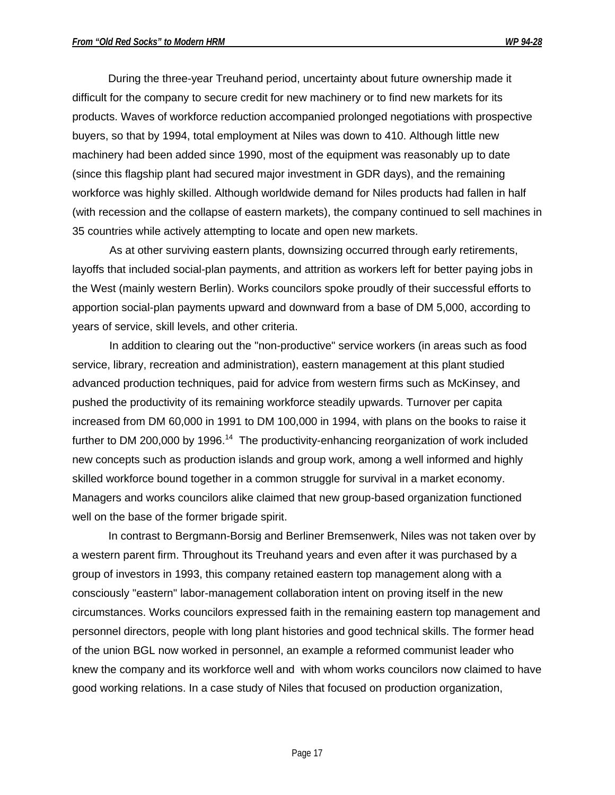During the three-year Treuhand period, uncertainty about future ownership made it difficult for the company to secure credit for new machinery or to find new markets for its products. Waves of workforce reduction accompanied prolonged negotiations with prospective buyers, so that by 1994, total employment at Niles was down to 410. Although little new machinery had been added since 1990, most of the equipment was reasonably up to date (since this flagship plant had secured major investment in GDR days), and the remaining workforce was highly skilled. Although worldwide demand for Niles products had fallen in half (with recession and the collapse of eastern markets), the company continued to sell machines in 35 countries while actively attempting to locate and open new markets.

As at other surviving eastern plants, downsizing occurred through early retirements, layoffs that included social-plan payments, and attrition as workers left for better paying jobs in the West (mainly western Berlin). Works councilors spoke proudly of their successful efforts to apportion social-plan payments upward and downward from a base of DM 5,000, according to years of service, skill levels, and other criteria.

In addition to clearing out the "non-productive" service workers (in areas such as food service, library, recreation and administration), eastern management at this plant studied advanced production techniques, paid for advice from western firms such as McKinsey, and pushed the productivity of its remaining workforce steadily upwards. Turnover per capita increased from DM 60,000 in 1991 to DM 100,000 in 1994, with plans on the books to raise it further to DM 200,000 by 1996.<sup>14</sup> The productivity-enhancing reorganization of work included new concepts such as production islands and group work, among a well informed and highly skilled workforce bound together in a common struggle for survival in a market economy. Managers and works councilors alike claimed that new group-based organization functioned well on the base of the former brigade spirit.

In contrast to Bergmann-Borsig and Berliner Bremsenwerk, Niles was not taken over by a western parent firm. Throughout its Treuhand years and even after it was purchased by a group of investors in 1993, this company retained eastern top management along with a consciously "eastern" labor-management collaboration intent on proving itself in the new circumstances. Works councilors expressed faith in the remaining eastern top management and personnel directors, people with long plant histories and good technical skills. The former head of the union BGL now worked in personnel, an example a reformed communist leader who knew the company and its workforce well and with whom works councilors now claimed to have good working relations. In a case study of Niles that focused on production organization,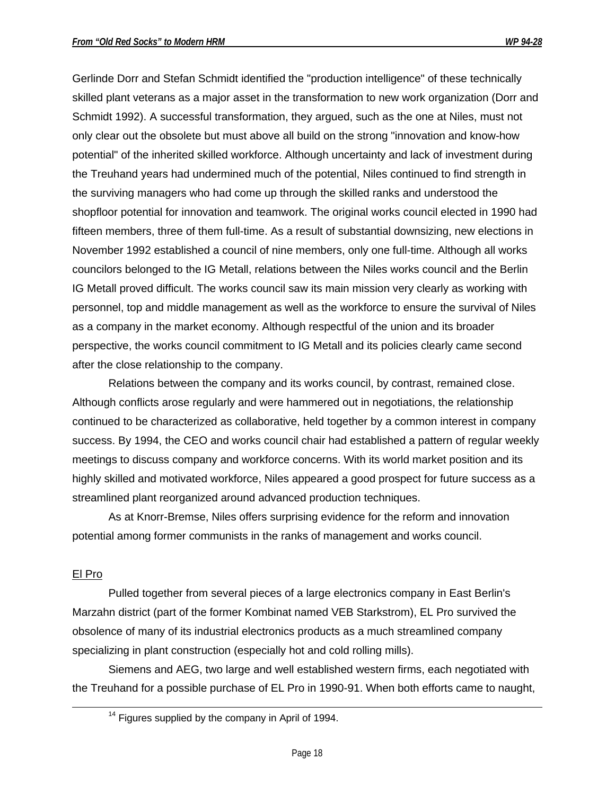Gerlinde Dorr and Stefan Schmidt identified the "production intelligence" of these technically skilled plant veterans as a major asset in the transformation to new work organization (Dorr and Schmidt 1992). A successful transformation, they argued, such as the one at Niles, must not only clear out the obsolete but must above all build on the strong "innovation and know-how potential" of the inherited skilled workforce. Although uncertainty and lack of investment during the Treuhand years had undermined much of the potential, Niles continued to find strength in the surviving managers who had come up through the skilled ranks and understood the shopfloor potential for innovation and teamwork. The original works council elected in 1990 had fifteen members, three of them full-time. As a result of substantial downsizing, new elections in November 1992 established a council of nine members, only one full-time. Although all works councilors belonged to the IG Metall, relations between the Niles works council and the Berlin IG Metall proved difficult. The works council saw its main mission very clearly as working with personnel, top and middle management as well as the workforce to ensure the survival of Niles as a company in the market economy. Although respectful of the union and its broader perspective, the works council commitment to IG Metall and its policies clearly came second after the close relationship to the company.

Relations between the company and its works council, by contrast, remained close. Although conflicts arose regularly and were hammered out in negotiations, the relationship continued to be characterized as collaborative, held together by a common interest in company success. By 1994, the CEO and works council chair had established a pattern of regular weekly meetings to discuss company and workforce concerns. With its world market position and its highly skilled and motivated workforce, Niles appeared a good prospect for future success as a streamlined plant reorganized around advanced production techniques.

As at Knorr-Bremse, Niles offers surprising evidence for the reform and innovation potential among former communists in the ranks of management and works council.

### El Pro

 $\overline{a}$ 

Pulled together from several pieces of a large electronics company in East Berlin's Marzahn district (part of the former Kombinat named VEB Starkstrom), EL Pro survived the obsolence of many of its industrial electronics products as a much streamlined company specializing in plant construction (especially hot and cold rolling mills).

Siemens and AEG, two large and well established western firms, each negotiated with the Treuhand for a possible purchase of EL Pro in 1990-91. When both efforts came to naught,

 $14$  Figures supplied by the company in April of 1994.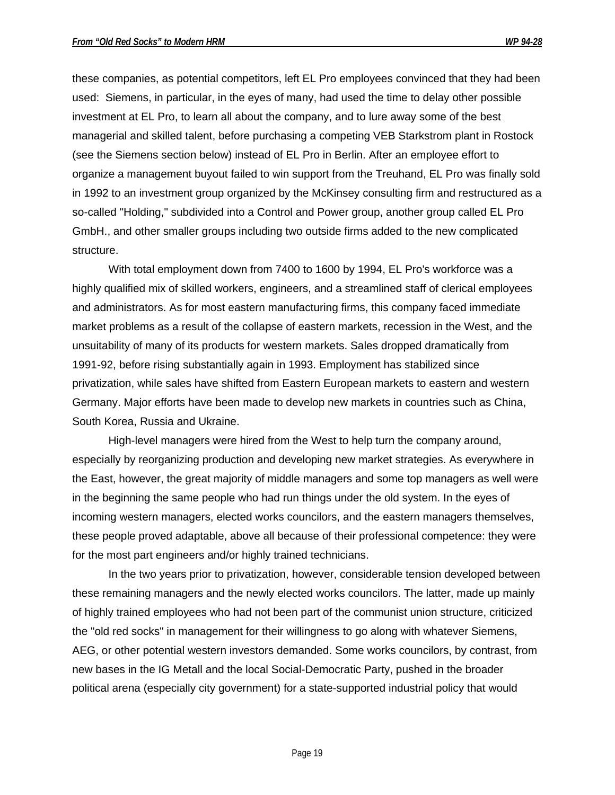these companies, as potential competitors, left EL Pro employees convinced that they had been used: Siemens, in particular, in the eyes of many, had used the time to delay other possible investment at EL Pro, to learn all about the company, and to lure away some of the best managerial and skilled talent, before purchasing a competing VEB Starkstrom plant in Rostock (see the Siemens section below) instead of EL Pro in Berlin. After an employee effort to organize a management buyout failed to win support from the Treuhand, EL Pro was finally sold in 1992 to an investment group organized by the McKinsey consulting firm and restructured as a so-called "Holding," subdivided into a Control and Power group, another group called EL Pro GmbH., and other smaller groups including two outside firms added to the new complicated structure.

With total employment down from 7400 to 1600 by 1994, EL Pro's workforce was a highly qualified mix of skilled workers, engineers, and a streamlined staff of clerical employees and administrators. As for most eastern manufacturing firms, this company faced immediate market problems as a result of the collapse of eastern markets, recession in the West, and the unsuitability of many of its products for western markets. Sales dropped dramatically from 1991-92, before rising substantially again in 1993. Employment has stabilized since privatization, while sales have shifted from Eastern European markets to eastern and western Germany. Major efforts have been made to develop new markets in countries such as China, South Korea, Russia and Ukraine.

High-level managers were hired from the West to help turn the company around, especially by reorganizing production and developing new market strategies. As everywhere in the East, however, the great majority of middle managers and some top managers as well were in the beginning the same people who had run things under the old system. In the eyes of incoming western managers, elected works councilors, and the eastern managers themselves, these people proved adaptable, above all because of their professional competence: they were for the most part engineers and/or highly trained technicians.

In the two years prior to privatization, however, considerable tension developed between these remaining managers and the newly elected works councilors. The latter, made up mainly of highly trained employees who had not been part of the communist union structure, criticized the "old red socks" in management for their willingness to go along with whatever Siemens, AEG, or other potential western investors demanded. Some works councilors, by contrast, from new bases in the IG Metall and the local Social-Democratic Party, pushed in the broader political arena (especially city government) for a state-supported industrial policy that would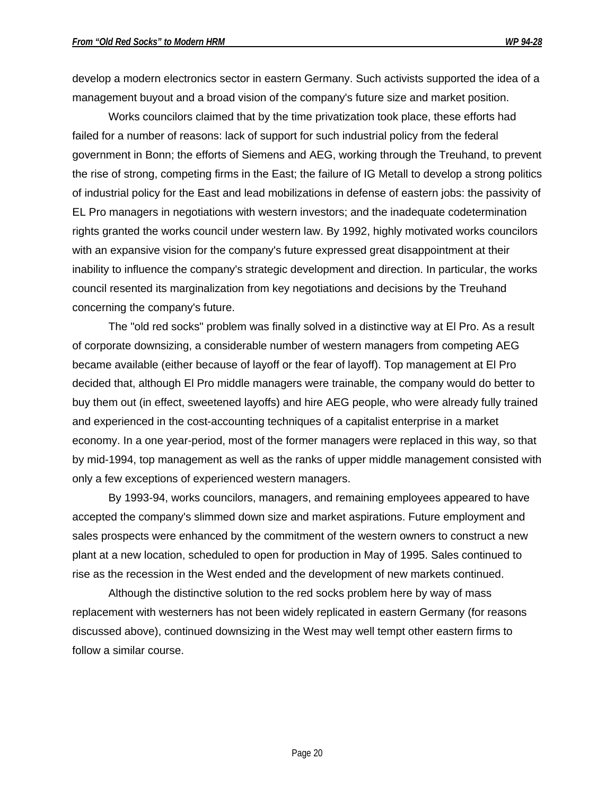develop a modern electronics sector in eastern Germany. Such activists supported the idea of a management buyout and a broad vision of the company's future size and market position.

Works councilors claimed that by the time privatization took place, these efforts had failed for a number of reasons: lack of support for such industrial policy from the federal government in Bonn; the efforts of Siemens and AEG, working through the Treuhand, to prevent the rise of strong, competing firms in the East; the failure of IG Metall to develop a strong politics of industrial policy for the East and lead mobilizations in defense of eastern jobs: the passivity of EL Pro managers in negotiations with western investors; and the inadequate codetermination rights granted the works council under western law. By 1992, highly motivated works councilors with an expansive vision for the company's future expressed great disappointment at their inability to influence the company's strategic development and direction. In particular, the works council resented its marginalization from key negotiations and decisions by the Treuhand concerning the company's future.

The "old red socks" problem was finally solved in a distinctive way at El Pro. As a result of corporate downsizing, a considerable number of western managers from competing AEG became available (either because of layoff or the fear of layoff). Top management at El Pro decided that, although El Pro middle managers were trainable, the company would do better to buy them out (in effect, sweetened layoffs) and hire AEG people, who were already fully trained and experienced in the cost-accounting techniques of a capitalist enterprise in a market economy. In a one year-period, most of the former managers were replaced in this way, so that by mid-1994, top management as well as the ranks of upper middle management consisted with only a few exceptions of experienced western managers.

By 1993-94, works councilors, managers, and remaining employees appeared to have accepted the company's slimmed down size and market aspirations. Future employment and sales prospects were enhanced by the commitment of the western owners to construct a new plant at a new location, scheduled to open for production in May of 1995. Sales continued to rise as the recession in the West ended and the development of new markets continued.

Although the distinctive solution to the red socks problem here by way of mass replacement with westerners has not been widely replicated in eastern Germany (for reasons discussed above), continued downsizing in the West may well tempt other eastern firms to follow a similar course.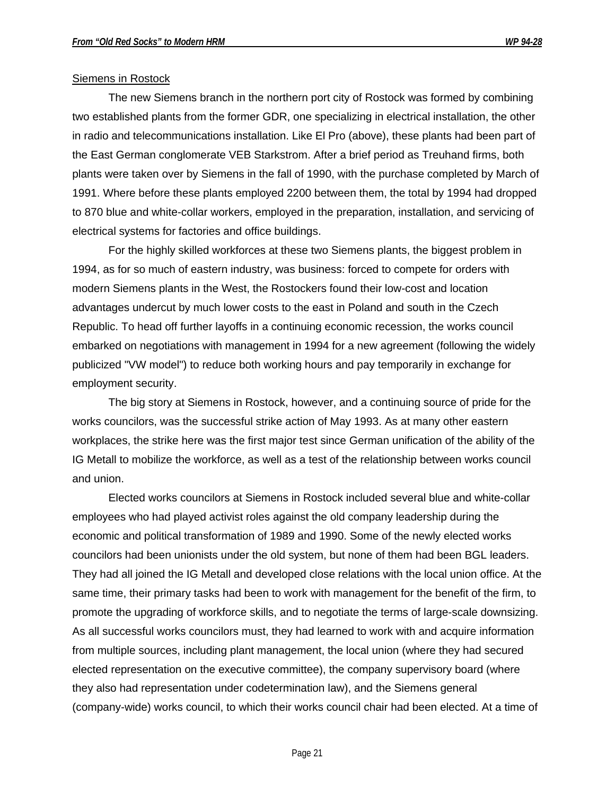#### Siemens in Rostock

The new Siemens branch in the northern port city of Rostock was formed by combining two established plants from the former GDR, one specializing in electrical installation, the other in radio and telecommunications installation. Like El Pro (above), these plants had been part of the East German conglomerate VEB Starkstrom. After a brief period as Treuhand firms, both plants were taken over by Siemens in the fall of 1990, with the purchase completed by March of 1991. Where before these plants employed 2200 between them, the total by 1994 had dropped to 870 blue and white-collar workers, employed in the preparation, installation, and servicing of electrical systems for factories and office buildings.

For the highly skilled workforces at these two Siemens plants, the biggest problem in 1994, as for so much of eastern industry, was business: forced to compete for orders with modern Siemens plants in the West, the Rostockers found their low-cost and location advantages undercut by much lower costs to the east in Poland and south in the Czech Republic. To head off further layoffs in a continuing economic recession, the works council embarked on negotiations with management in 1994 for a new agreement (following the widely publicized "VW model") to reduce both working hours and pay temporarily in exchange for employment security.

The big story at Siemens in Rostock, however, and a continuing source of pride for the works councilors, was the successful strike action of May 1993. As at many other eastern workplaces, the strike here was the first major test since German unification of the ability of the IG Metall to mobilize the workforce, as well as a test of the relationship between works council and union.

Elected works councilors at Siemens in Rostock included several blue and white-collar employees who had played activist roles against the old company leadership during the economic and political transformation of 1989 and 1990. Some of the newly elected works councilors had been unionists under the old system, but none of them had been BGL leaders. They had all joined the IG Metall and developed close relations with the local union office. At the same time, their primary tasks had been to work with management for the benefit of the firm, to promote the upgrading of workforce skills, and to negotiate the terms of large-scale downsizing. As all successful works councilors must, they had learned to work with and acquire information from multiple sources, including plant management, the local union (where they had secured elected representation on the executive committee), the company supervisory board (where they also had representation under codetermination law), and the Siemens general (company-wide) works council, to which their works council chair had been elected. At a time of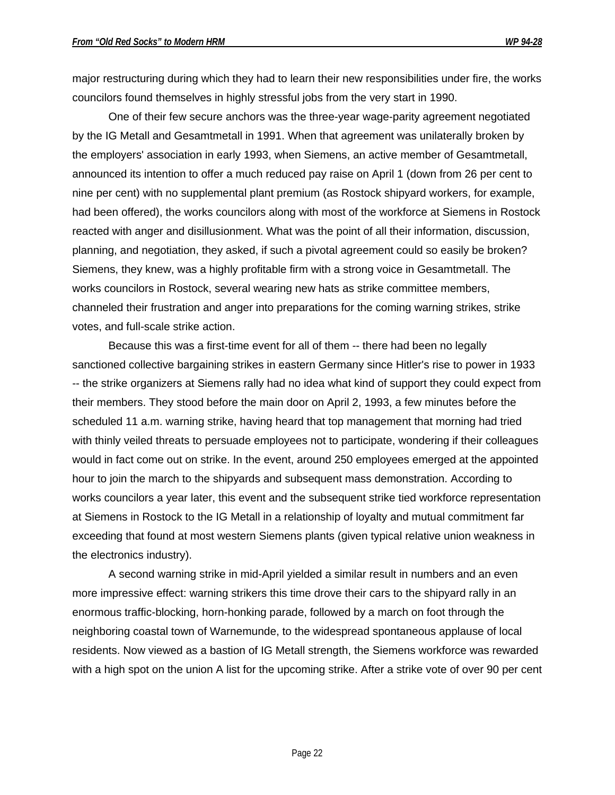major restructuring during which they had to learn their new responsibilities under fire, the works councilors found themselves in highly stressful jobs from the very start in 1990.

One of their few secure anchors was the three-year wage-parity agreement negotiated by the IG Metall and Gesamtmetall in 1991. When that agreement was unilaterally broken by the employers' association in early 1993, when Siemens, an active member of Gesamtmetall, announced its intention to offer a much reduced pay raise on April 1 (down from 26 per cent to nine per cent) with no supplemental plant premium (as Rostock shipyard workers, for example, had been offered), the works councilors along with most of the workforce at Siemens in Rostock reacted with anger and disillusionment. What was the point of all their information, discussion, planning, and negotiation, they asked, if such a pivotal agreement could so easily be broken? Siemens, they knew, was a highly profitable firm with a strong voice in Gesamtmetall. The works councilors in Rostock, several wearing new hats as strike committee members, channeled their frustration and anger into preparations for the coming warning strikes, strike votes, and full-scale strike action.

Because this was a first-time event for all of them -- there had been no legally sanctioned collective bargaining strikes in eastern Germany since Hitler's rise to power in 1933 -- the strike organizers at Siemens rally had no idea what kind of support they could expect from their members. They stood before the main door on April 2, 1993, a few minutes before the scheduled 11 a.m. warning strike, having heard that top management that morning had tried with thinly veiled threats to persuade employees not to participate, wondering if their colleagues would in fact come out on strike. In the event, around 250 employees emerged at the appointed hour to join the march to the shipyards and subsequent mass demonstration. According to works councilors a year later, this event and the subsequent strike tied workforce representation at Siemens in Rostock to the IG Metall in a relationship of loyalty and mutual commitment far exceeding that found at most western Siemens plants (given typical relative union weakness in the electronics industry).

A second warning strike in mid-April yielded a similar result in numbers and an even more impressive effect: warning strikers this time drove their cars to the shipyard rally in an enormous traffic-blocking, horn-honking parade, followed by a march on foot through the neighboring coastal town of Warnemunde, to the widespread spontaneous applause of local residents. Now viewed as a bastion of IG Metall strength, the Siemens workforce was rewarded with a high spot on the union A list for the upcoming strike. After a strike vote of over 90 per cent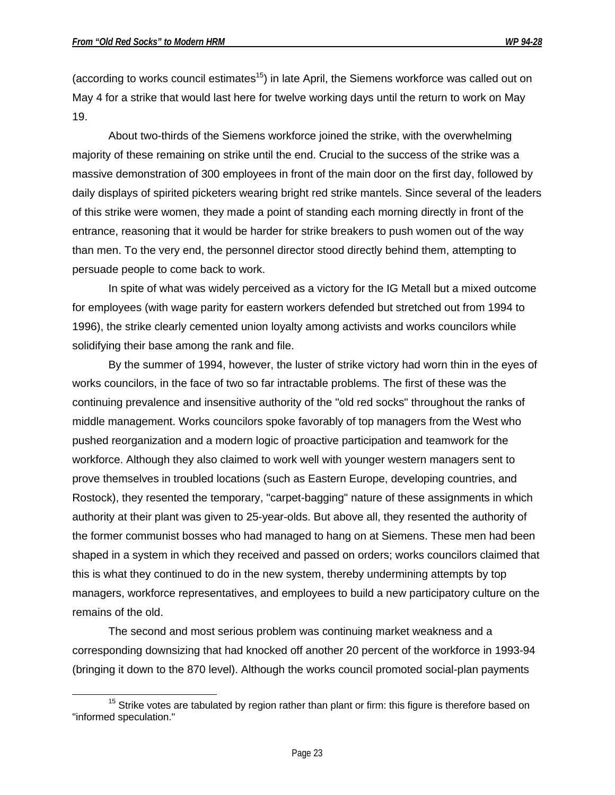(according to works council estimates<sup>15</sup>) in late April, the Siemens workforce was called out on May 4 for a strike that would last here for twelve working days until the return to work on May 19.

About two-thirds of the Siemens workforce joined the strike, with the overwhelming majority of these remaining on strike until the end. Crucial to the success of the strike was a massive demonstration of 300 employees in front of the main door on the first day, followed by daily displays of spirited picketers wearing bright red strike mantels. Since several of the leaders of this strike were women, they made a point of standing each morning directly in front of the entrance, reasoning that it would be harder for strike breakers to push women out of the way than men. To the very end, the personnel director stood directly behind them, attempting to persuade people to come back to work.

In spite of what was widely perceived as a victory for the IG Metall but a mixed outcome for employees (with wage parity for eastern workers defended but stretched out from 1994 to 1996), the strike clearly cemented union loyalty among activists and works councilors while solidifying their base among the rank and file.

By the summer of 1994, however, the luster of strike victory had worn thin in the eyes of works councilors, in the face of two so far intractable problems. The first of these was the continuing prevalence and insensitive authority of the "old red socks" throughout the ranks of middle management. Works councilors spoke favorably of top managers from the West who pushed reorganization and a modern logic of proactive participation and teamwork for the workforce. Although they also claimed to work well with younger western managers sent to prove themselves in troubled locations (such as Eastern Europe, developing countries, and Rostock), they resented the temporary, "carpet-bagging" nature of these assignments in which authority at their plant was given to 25-year-olds. But above all, they resented the authority of the former communist bosses who had managed to hang on at Siemens. These men had been shaped in a system in which they received and passed on orders; works councilors claimed that this is what they continued to do in the new system, thereby undermining attempts by top managers, workforce representatives, and employees to build a new participatory culture on the remains of the old.

The second and most serious problem was continuing market weakness and a corresponding downsizing that had knocked off another 20 percent of the workforce in 1993-94 (bringing it down to the 870 level). Although the works council promoted social-plan payments

 $\overline{a}$  $15$  Strike votes are tabulated by region rather than plant or firm: this figure is therefore based on "informed speculation."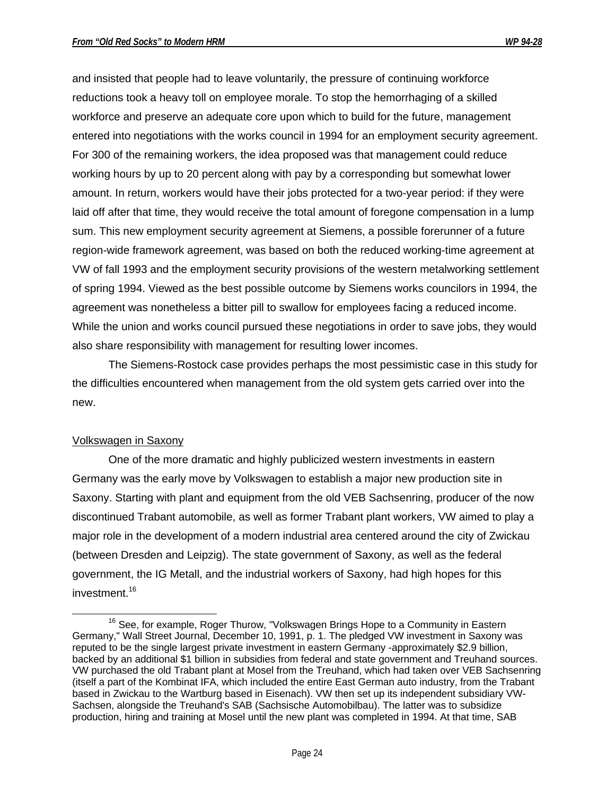and insisted that people had to leave voluntarily, the pressure of continuing workforce reductions took a heavy toll on employee morale. To stop the hemorrhaging of a skilled workforce and preserve an adequate core upon which to build for the future, management entered into negotiations with the works council in 1994 for an employment security agreement. For 300 of the remaining workers, the idea proposed was that management could reduce working hours by up to 20 percent along with pay by a corresponding but somewhat lower amount. In return, workers would have their jobs protected for a two-year period: if they were laid off after that time, they would receive the total amount of foregone compensation in a lump sum. This new employment security agreement at Siemens, a possible forerunner of a future region-wide framework agreement, was based on both the reduced working-time agreement at VW of fall 1993 and the employment security provisions of the western metalworking settlement of spring 1994. Viewed as the best possible outcome by Siemens works councilors in 1994, the agreement was nonetheless a bitter pill to swallow for employees facing a reduced income. While the union and works council pursued these negotiations in order to save jobs, they would also share responsibility with management for resulting lower incomes.

The Siemens-Rostock case provides perhaps the most pessimistic case in this study for the difficulties encountered when management from the old system gets carried over into the new.

# Volkswagen in Saxony

 $\overline{a}$ 

One of the more dramatic and highly publicized western investments in eastern Germany was the early move by Volkswagen to establish a major new production site in Saxony. Starting with plant and equipment from the old VEB Sachsenring, producer of the now discontinued Trabant automobile, as well as former Trabant plant workers, VW aimed to play a major role in the development of a modern industrial area centered around the city of Zwickau (between Dresden and Leipzig). The state government of Saxony, as well as the federal government, the IG Metall, and the industrial workers of Saxony, had high hopes for this investment.<sup>16</sup>

 $16$  See, for example, Roger Thurow, "Volkswagen Brings Hope to a Community in Eastern Germany," Wall Street Journal, December 10, 1991, p. 1. The pledged VW investment in Saxony was reputed to be the single largest private investment in eastern Germany -approximately \$2.9 billion, backed by an additional \$1 billion in subsidies from federal and state government and Treuhand sources. VW purchased the old Trabant plant at Mosel from the Treuhand, which had taken over VEB Sachsenring (itself a part of the Kombinat IFA, which included the entire East German auto industry, from the Trabant based in Zwickau to the Wartburg based in Eisenach). VW then set up its independent subsidiary VW-Sachsen, alongside the Treuhand's SAB (Sachsische Automobilbau). The latter was to subsidize production, hiring and training at Mosel until the new plant was completed in 1994. At that time, SAB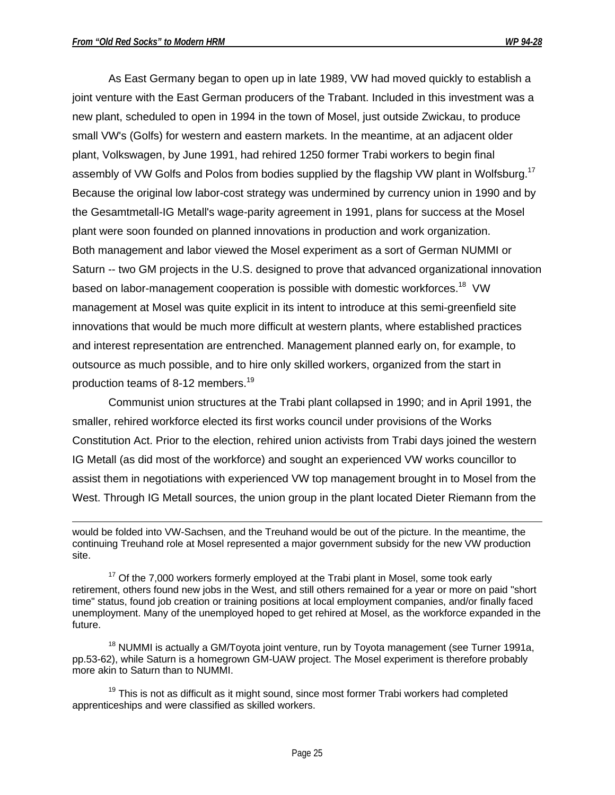As East Germany began to open up in late 1989, VW had moved quickly to establish a joint venture with the East German producers of the Trabant. Included in this investment was a new plant, scheduled to open in 1994 in the town of Mosel, just outside Zwickau, to produce small VW's (Golfs) for western and eastern markets. In the meantime, at an adjacent older plant, Volkswagen, by June 1991, had rehired 1250 former Trabi workers to begin final assembly of VW Golfs and Polos from bodies supplied by the flagship VW plant in Wolfsburg.<sup>17</sup> Because the original low labor-cost strategy was undermined by currency union in 1990 and by the Gesamtmetall-IG Metall's wage-parity agreement in 1991, plans for success at the Mosel plant were soon founded on planned innovations in production and work organization. Both management and labor viewed the Mosel experiment as a sort of German NUMMI or Saturn -- two GM projects in the U.S. designed to prove that advanced organizational innovation based on labor-management cooperation is possible with domestic workforces.<sup>18</sup> VW management at Mosel was quite explicit in its intent to introduce at this semi-greenfield site innovations that would be much more difficult at western plants, where established practices and interest representation are entrenched. Management planned early on, for example, to outsource as much possible, and to hire only skilled workers, organized from the start in production teams of 8-12 members.<sup>19</sup>

Communist union structures at the Trabi plant collapsed in 1990; and in April 1991, the smaller, rehired workforce elected its first works council under provisions of the Works Constitution Act. Prior to the election, rehired union activists from Trabi days joined the western IG Metall (as did most of the workforce) and sought an experienced VW works councillor to assist them in negotiations with experienced VW top management brought in to Mosel from the West. Through IG Metall sources, the union group in the plant located Dieter Riemann from the

 $17$  Of the 7,000 workers formerly employed at the Trabi plant in Mosel, some took early retirement, others found new jobs in the West, and still others remained for a year or more on paid "short time" status, found job creation or training positions at local employment companies, and/or finally faced unemployment. Many of the unemployed hoped to get rehired at Mosel, as the workforce expanded in the future.

<sup>18</sup> NUMMI is actually a GM/Toyota joint venture, run by Toyota management (see Turner 1991a, pp.53-62), while Saturn is a homegrown GM-UAW project. The Mosel experiment is therefore probably more akin to Saturn than to NUMMI.

 $19$  This is not as difficult as it might sound, since most former Trabi workers had completed apprenticeships and were classified as skilled workers.

 $\overline{a}$ would be folded into VW-Sachsen, and the Treuhand would be out of the picture. In the meantime, the continuing Treuhand role at Mosel represented a major government subsidy for the new VW production site.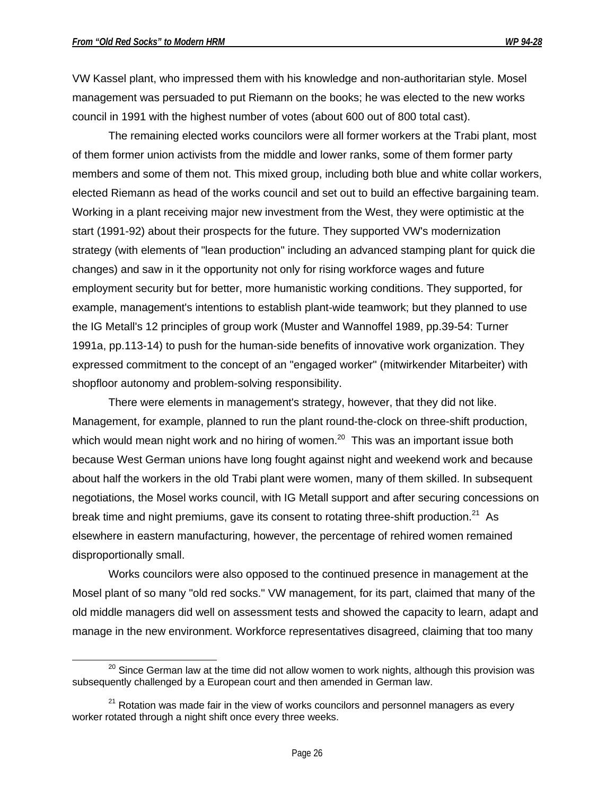VW Kassel plant, who impressed them with his knowledge and non-authoritarian style. Mosel management was persuaded to put Riemann on the books; he was elected to the new works council in 1991 with the highest number of votes (about 600 out of 800 total cast).

The remaining elected works councilors were all former workers at the Trabi plant, most of them former union activists from the middle and lower ranks, some of them former party members and some of them not. This mixed group, including both blue and white collar workers, elected Riemann as head of the works council and set out to build an effective bargaining team. Working in a plant receiving major new investment from the West, they were optimistic at the start (1991-92) about their prospects for the future. They supported VW's modernization strategy (with elements of "lean production" including an advanced stamping plant for quick die changes) and saw in it the opportunity not only for rising workforce wages and future employment security but for better, more humanistic working conditions. They supported, for example, management's intentions to establish plant-wide teamwork; but they planned to use the IG Metall's 12 principles of group work (Muster and Wannoffel 1989, pp.39-54: Turner 1991a, pp.113-14) to push for the human-side benefits of innovative work organization. They expressed commitment to the concept of an "engaged worker" (mitwirkender Mitarbeiter) with shopfloor autonomy and problem-solving responsibility.

There were elements in management's strategy, however, that they did not like. Management, for example, planned to run the plant round-the-clock on three-shift production, which would mean night work and no hiring of women.<sup>20</sup> This was an important issue both because West German unions have long fought against night and weekend work and because about half the workers in the old Trabi plant were women, many of them skilled. In subsequent negotiations, the Mosel works council, with IG Metall support and after securing concessions on break time and night premiums, gave its consent to rotating three-shift production. $21$  As elsewhere in eastern manufacturing, however, the percentage of rehired women remained disproportionally small.

Works councilors were also opposed to the continued presence in management at the Mosel plant of so many "old red socks." VW management, for its part, claimed that many of the old middle managers did well on assessment tests and showed the capacity to learn, adapt and manage in the new environment. Workforce representatives disagreed, claiming that too many

<sup>1</sup>  $^{20}$  Since German law at the time did not allow women to work nights, although this provision was subsequently challenged by a European court and then amended in German law.

 $21$  Rotation was made fair in the view of works councilors and personnel managers as every worker rotated through a night shift once every three weeks.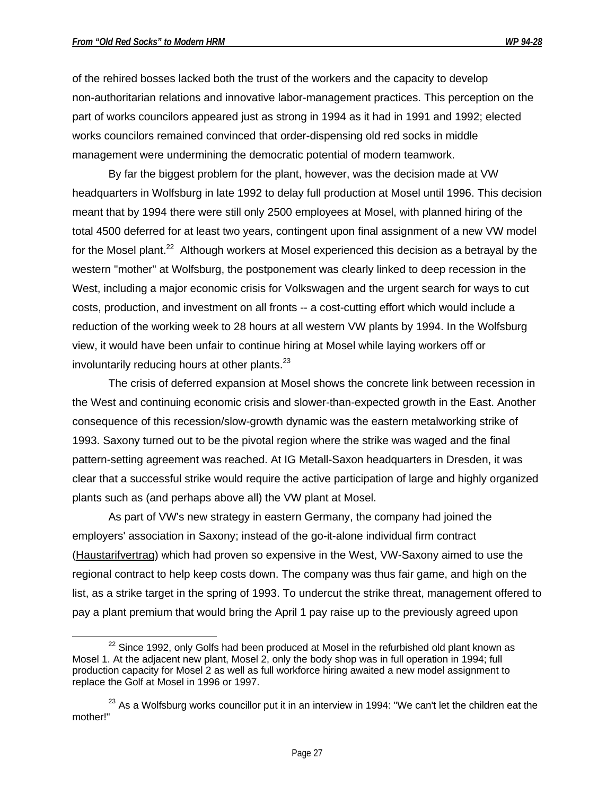$\overline{a}$ 

of the rehired bosses lacked both the trust of the workers and the capacity to develop non-authoritarian relations and innovative labor-management practices. This perception on the part of works councilors appeared just as strong in 1994 as it had in 1991 and 1992; elected works councilors remained convinced that order-dispensing old red socks in middle management were undermining the democratic potential of modern teamwork.

By far the biggest problem for the plant, however, was the decision made at VW headquarters in Wolfsburg in late 1992 to delay full production at Mosel until 1996. This decision meant that by 1994 there were still only 2500 employees at Mosel, with planned hiring of the total 4500 deferred for at least two years, contingent upon final assignment of a new VW model for the Mosel plant.<sup>22</sup> Although workers at Mosel experienced this decision as a betrayal by the western "mother" at Wolfsburg, the postponement was clearly linked to deep recession in the West, including a major economic crisis for Volkswagen and the urgent search for ways to cut costs, production, and investment on all fronts -- a cost-cutting effort which would include a reduction of the working week to 28 hours at all western VW plants by 1994. In the Wolfsburg view, it would have been unfair to continue hiring at Mosel while laying workers off or involuntarily reducing hours at other plants. $^{23}$ 

The crisis of deferred expansion at Mosel shows the concrete link between recession in the West and continuing economic crisis and slower-than-expected growth in the East. Another consequence of this recession/slow-growth dynamic was the eastern metalworking strike of 1993. Saxony turned out to be the pivotal region where the strike was waged and the final pattern-setting agreement was reached. At IG Metall-Saxon headquarters in Dresden, it was clear that a successful strike would require the active participation of large and highly organized plants such as (and perhaps above all) the VW plant at Mosel.

As part of VW's new strategy in eastern Germany, the company had joined the employers' association in Saxony; instead of the go-it-alone individual firm contract (Haustarifvertrag) which had proven so expensive in the West, VW-Saxony aimed to use the regional contract to help keep costs down. The company was thus fair game, and high on the list, as a strike target in the spring of 1993. To undercut the strike threat, management offered to pay a plant premium that would bring the April 1 pay raise up to the previously agreed upon

 $22$  Since 1992, only Golfs had been produced at Mosel in the refurbished old plant known as Mosel 1. At the adjacent new plant, Mosel 2, only the body shop was in full operation in 1994; full production capacity for Mosel 2 as well as full workforce hiring awaited a new model assignment to replace the Golf at Mosel in 1996 or 1997.

 $23$  As a Wolfsburg works councillor put it in an interview in 1994: "We can't let the children eat the mother!"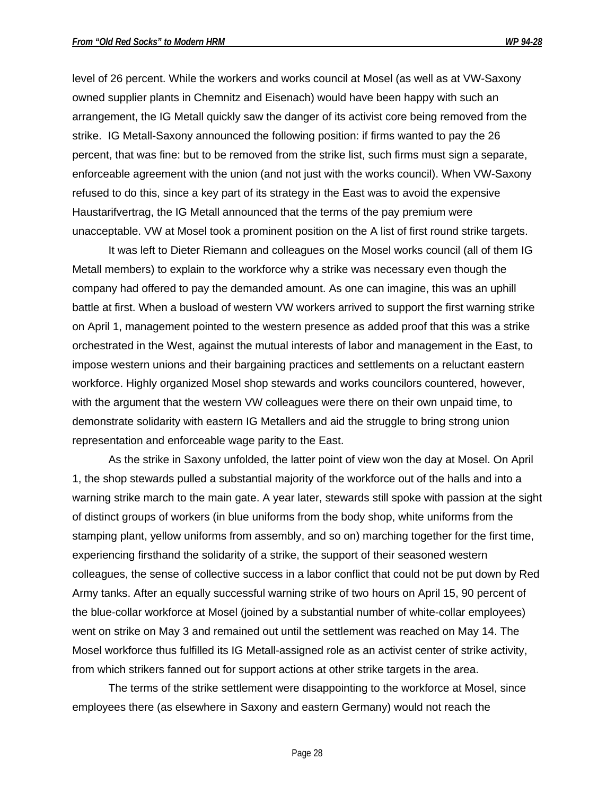level of 26 percent. While the workers and works council at Mosel (as well as at VW-Saxony owned supplier plants in Chemnitz and Eisenach) would have been happy with such an arrangement, the IG Metall quickly saw the danger of its activist core being removed from the strike. IG Metall-Saxony announced the following position: if firms wanted to pay the 26 percent, that was fine: but to be removed from the strike list, such firms must sign a separate, enforceable agreement with the union (and not just with the works council). When VW-Saxony refused to do this, since a key part of its strategy in the East was to avoid the expensive Haustarifvertrag, the IG Metall announced that the terms of the pay premium were unacceptable. VW at Mosel took a prominent position on the A list of first round strike targets.

It was left to Dieter Riemann and colleagues on the Mosel works council (all of them IG Metall members) to explain to the workforce why a strike was necessary even though the company had offered to pay the demanded amount. As one can imagine, this was an uphill battle at first. When a busload of western VW workers arrived to support the first warning strike on April 1, management pointed to the western presence as added proof that this was a strike orchestrated in the West, against the mutual interests of labor and management in the East, to impose western unions and their bargaining practices and settlements on a reluctant eastern workforce. Highly organized Mosel shop stewards and works councilors countered, however, with the argument that the western VW colleagues were there on their own unpaid time, to demonstrate solidarity with eastern IG Metallers and aid the struggle to bring strong union representation and enforceable wage parity to the East.

As the strike in Saxony unfolded, the latter point of view won the day at Mosel. On April 1, the shop stewards pulled a substantial majority of the workforce out of the halls and into a warning strike march to the main gate. A year later, stewards still spoke with passion at the sight of distinct groups of workers (in blue uniforms from the body shop, white uniforms from the stamping plant, yellow uniforms from assembly, and so on) marching together for the first time, experiencing firsthand the solidarity of a strike, the support of their seasoned western colleagues, the sense of collective success in a labor conflict that could not be put down by Red Army tanks. After an equally successful warning strike of two hours on April 15, 90 percent of the blue-collar workforce at Mosel (joined by a substantial number of white-collar employees) went on strike on May 3 and remained out until the settlement was reached on May 14. The Mosel workforce thus fulfilled its IG Metall-assigned role as an activist center of strike activity, from which strikers fanned out for support actions at other strike targets in the area.

The terms of the strike settlement were disappointing to the workforce at Mosel, since employees there (as elsewhere in Saxony and eastern Germany) would not reach the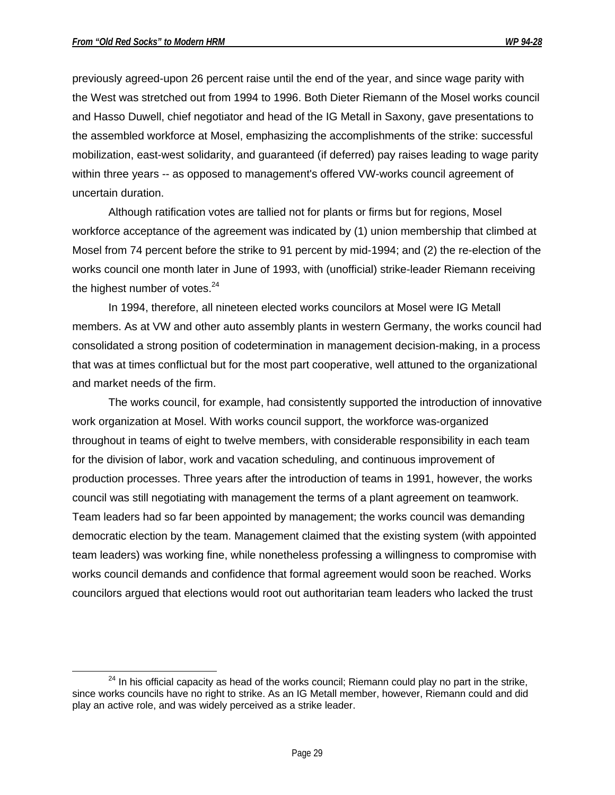$\overline{a}$ 

previously agreed-upon 26 percent raise until the end of the year, and since wage parity with the West was stretched out from 1994 to 1996. Both Dieter Riemann of the Mosel works council and Hasso Duwell, chief negotiator and head of the IG Metall in Saxony, gave presentations to the assembled workforce at Mosel, emphasizing the accomplishments of the strike: successful mobilization, east-west solidarity, and guaranteed (if deferred) pay raises leading to wage parity within three years -- as opposed to management's offered VW-works council agreement of uncertain duration.

Although ratification votes are tallied not for plants or firms but for regions, Mosel workforce acceptance of the agreement was indicated by (1) union membership that climbed at Mosel from 74 percent before the strike to 91 percent by mid-1994; and (2) the re-election of the works council one month later in June of 1993, with (unofficial) strike-leader Riemann receiving the highest number of votes. $24$ 

In 1994, therefore, all nineteen elected works councilors at Mosel were IG Metall members. As at VW and other auto assembly plants in western Germany, the works council had consolidated a strong position of codetermination in management decision-making, in a process that was at times conflictual but for the most part cooperative, well attuned to the organizational and market needs of the firm.

The works council, for example, had consistently supported the introduction of innovative work organization at Mosel. With works council support, the workforce was-organized throughout in teams of eight to twelve members, with considerable responsibility in each team for the division of labor, work and vacation scheduling, and continuous improvement of production processes. Three years after the introduction of teams in 1991, however, the works council was still negotiating with management the terms of a plant agreement on teamwork. Team leaders had so far been appointed by management; the works council was demanding democratic election by the team. Management claimed that the existing system (with appointed team leaders) was working fine, while nonetheless professing a willingness to compromise with works council demands and confidence that formal agreement would soon be reached. Works councilors argued that elections would root out authoritarian team leaders who lacked the trust

 $24$  In his official capacity as head of the works council; Riemann could play no part in the strike, since works councils have no right to strike. As an IG Metall member, however, Riemann could and did play an active role, and was widely perceived as a strike leader.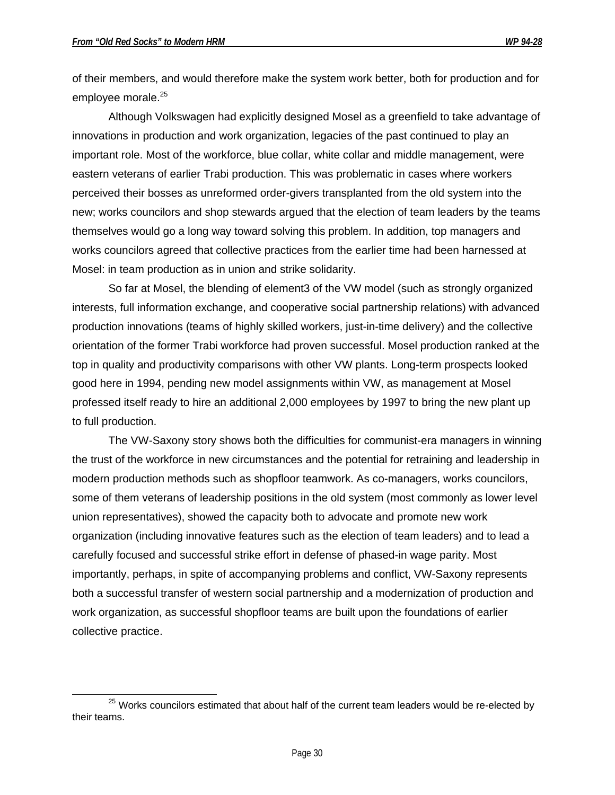$\overline{a}$ 

of their members, and would therefore make the system work better, both for production and for employee morale.<sup>25</sup>

Although Volkswagen had explicitly designed Mosel as a greenfield to take advantage of innovations in production and work organization, legacies of the past continued to play an important role. Most of the workforce, blue collar, white collar and middle management, were eastern veterans of earlier Trabi production. This was problematic in cases where workers perceived their bosses as unreformed order-givers transplanted from the old system into the new; works councilors and shop stewards argued that the election of team leaders by the teams themselves would go a long way toward solving this problem. In addition, top managers and works councilors agreed that collective practices from the earlier time had been harnessed at Mosel: in team production as in union and strike solidarity.

So far at Mosel, the blending of element3 of the VW model (such as strongly organized interests, full information exchange, and cooperative social partnership relations) with advanced production innovations (teams of highly skilled workers, just-in-time delivery) and the collective orientation of the former Trabi workforce had proven successful. Mosel production ranked at the top in quality and productivity comparisons with other VW plants. Long-term prospects looked good here in 1994, pending new model assignments within VW, as management at Mosel professed itself ready to hire an additional 2,000 employees by 1997 to bring the new plant up to full production.

The VW-Saxony story shows both the difficulties for communist-era managers in winning the trust of the workforce in new circumstances and the potential for retraining and leadership in modern production methods such as shopfloor teamwork. As co-managers, works councilors, some of them veterans of leadership positions in the old system (most commonly as lower level union representatives), showed the capacity both to advocate and promote new work organization (including innovative features such as the election of team leaders) and to lead a carefully focused and successful strike effort in defense of phased-in wage parity. Most importantly, perhaps, in spite of accompanying problems and conflict, VW-Saxony represents both a successful transfer of western social partnership and a modernization of production and work organization, as successful shopfloor teams are built upon the foundations of earlier collective practice.

 $25$  Works councilors estimated that about half of the current team leaders would be re-elected by their teams.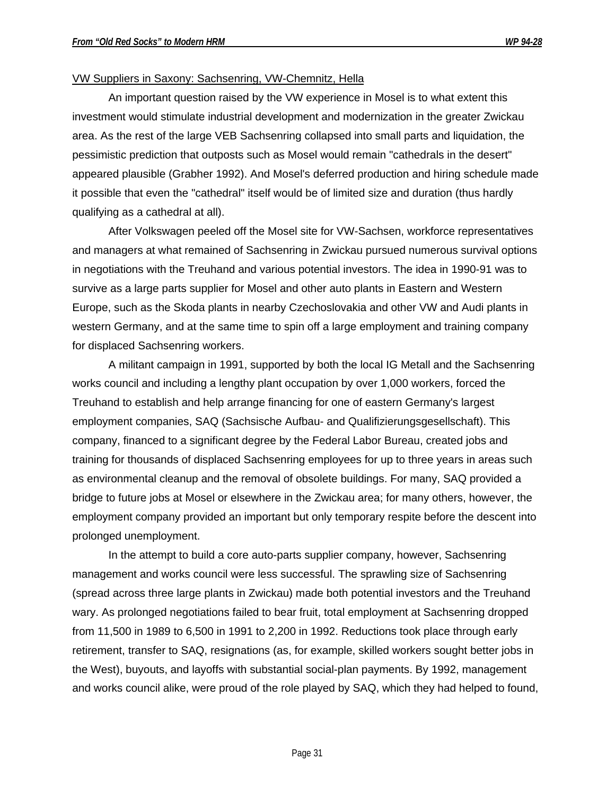#### VW Suppliers in Saxony: Sachsenring, VW-Chemnitz, Hella

An important question raised by the VW experience in Mosel is to what extent this investment would stimulate industrial development and modernization in the greater Zwickau area. As the rest of the large VEB Sachsenring collapsed into small parts and liquidation, the pessimistic prediction that outposts such as Mosel would remain "cathedrals in the desert" appeared plausible (Grabher 1992). And Mosel's deferred production and hiring schedule made it possible that even the "cathedral" itself would be of limited size and duration (thus hardly qualifying as a cathedral at all).

After Volkswagen peeled off the Mosel site for VW-Sachsen, workforce representatives and managers at what remained of Sachsenring in Zwickau pursued numerous survival options in negotiations with the Treuhand and various potential investors. The idea in 1990-91 was to survive as a large parts supplier for Mosel and other auto plants in Eastern and Western Europe, such as the Skoda plants in nearby Czechoslovakia and other VW and Audi plants in western Germany, and at the same time to spin off a large employment and training company for displaced Sachsenring workers.

A militant campaign in 1991, supported by both the local IG Metall and the Sachsenring works council and including a lengthy plant occupation by over 1,000 workers, forced the Treuhand to establish and help arrange financing for one of eastern Germany's largest employment companies, SAQ (Sachsische Aufbau- and Qualifizierungsgesellschaft). This company, financed to a significant degree by the Federal Labor Bureau, created jobs and training for thousands of displaced Sachsenring employees for up to three years in areas such as environmental cleanup and the removal of obsolete buildings. For many, SAQ provided a bridge to future jobs at Mosel or elsewhere in the Zwickau area; for many others, however, the employment company provided an important but only temporary respite before the descent into prolonged unemployment.

In the attempt to build a core auto-parts supplier company, however, Sachsenring management and works council were less successful. The sprawling size of Sachsenring (spread across three large plants in Zwickau) made both potential investors and the Treuhand wary. As prolonged negotiations failed to bear fruit, total employment at Sachsenring dropped from 11,500 in 1989 to 6,500 in 1991 to 2,200 in 1992. Reductions took place through early retirement, transfer to SAQ, resignations (as, for example, skilled workers sought better jobs in the West), buyouts, and layoffs with substantial social-plan payments. By 1992, management and works council alike, were proud of the role played by SAQ, which they had helped to found,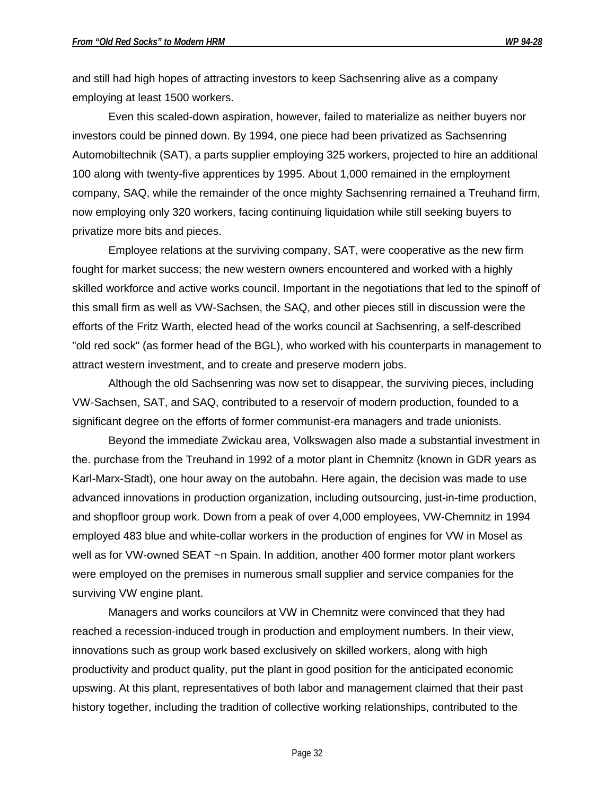and still had high hopes of attracting investors to keep Sachsenring alive as a company employing at least 1500 workers.

Even this scaled-down aspiration, however, failed to materialize as neither buyers nor investors could be pinned down. By 1994, one piece had been privatized as Sachsenring Automobiltechnik (SAT), a parts supplier employing 325 workers, projected to hire an additional 100 along with twenty-five apprentices by 1995. About 1,000 remained in the employment company, SAQ, while the remainder of the once mighty Sachsenring remained a Treuhand firm, now employing only 320 workers, facing continuing liquidation while still seeking buyers to privatize more bits and pieces.

Employee relations at the surviving company, SAT, were cooperative as the new firm fought for market success; the new western owners encountered and worked with a highly skilled workforce and active works council. Important in the negotiations that led to the spinoff of this small firm as well as VW-Sachsen, the SAQ, and other pieces still in discussion were the efforts of the Fritz Warth, elected head of the works council at Sachsenring, a self-described "old red sock" (as former head of the BGL), who worked with his counterparts in management to attract western investment, and to create and preserve modern jobs.

Although the old Sachsenring was now set to disappear, the surviving pieces, including VW-Sachsen, SAT, and SAQ, contributed to a reservoir of modern production, founded to a significant degree on the efforts of former communist-era managers and trade unionists.

Beyond the immediate Zwickau area, Volkswagen also made a substantial investment in the. purchase from the Treuhand in 1992 of a motor plant in Chemnitz (known in GDR years as Karl-Marx-Stadt), one hour away on the autobahn. Here again, the decision was made to use advanced innovations in production organization, including outsourcing, just-in-time production, and shopfloor group work. Down from a peak of over 4,000 employees, VW-Chemnitz in 1994 employed 483 blue and white-collar workers in the production of engines for VW in Mosel as well as for VW-owned SEAT ~n Spain. In addition, another 400 former motor plant workers were employed on the premises in numerous small supplier and service companies for the surviving VW engine plant.

Managers and works councilors at VW in Chemnitz were convinced that they had reached a recession-induced trough in production and employment numbers. In their view, innovations such as group work based exclusively on skilled workers, along with high productivity and product quality, put the plant in good position for the anticipated economic upswing. At this plant, representatives of both labor and management claimed that their past history together, including the tradition of collective working relationships, contributed to the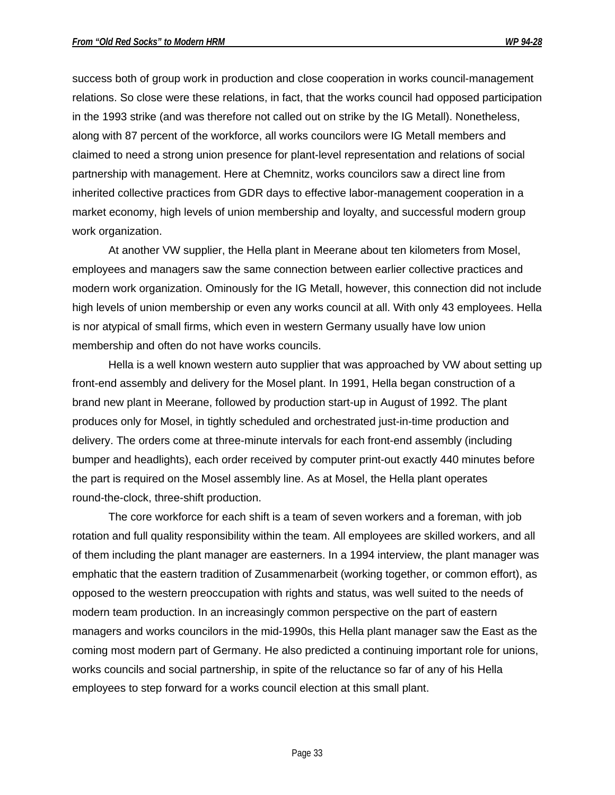success both of group work in production and close cooperation in works council-management relations. So close were these relations, in fact, that the works council had opposed participation in the 1993 strike (and was therefore not called out on strike by the IG Metall). Nonetheless, along with 87 percent of the workforce, all works councilors were IG Metall members and claimed to need a strong union presence for plant-level representation and relations of social partnership with management. Here at Chemnitz, works councilors saw a direct line from inherited collective practices from GDR days to effective labor-management cooperation in a market economy, high levels of union membership and loyalty, and successful modern group work organization.

At another VW supplier, the Hella plant in Meerane about ten kilometers from Mosel, employees and managers saw the same connection between earlier collective practices and modern work organization. Ominously for the IG Metall, however, this connection did not include high levels of union membership or even any works council at all. With only 43 employees. Hella is nor atypical of small firms, which even in western Germany usually have low union membership and often do not have works councils.

Hella is a well known western auto supplier that was approached by VW about setting up front-end assembly and delivery for the Mosel plant. In 1991, Hella began construction of a brand new plant in Meerane, followed by production start-up in August of 1992. The plant produces only for Mosel, in tightly scheduled and orchestrated just-in-time production and delivery. The orders come at three-minute intervals for each front-end assembly (including bumper and headlights), each order received by computer print-out exactly 440 minutes before the part is required on the Mosel assembly line. As at Mosel, the Hella plant operates round-the-clock, three-shift production.

The core workforce for each shift is a team of seven workers and a foreman, with job rotation and full quality responsibility within the team. All employees are skilled workers, and all of them including the plant manager are easterners. In a 1994 interview, the plant manager was emphatic that the eastern tradition of Zusammenarbeit (working together, or common effort), as opposed to the western preoccupation with rights and status, was well suited to the needs of modern team production. In an increasingly common perspective on the part of eastern managers and works councilors in the mid-1990s, this Hella plant manager saw the East as the coming most modern part of Germany. He also predicted a continuing important role for unions, works councils and social partnership, in spite of the reluctance so far of any of his Hella employees to step forward for a works council election at this small plant.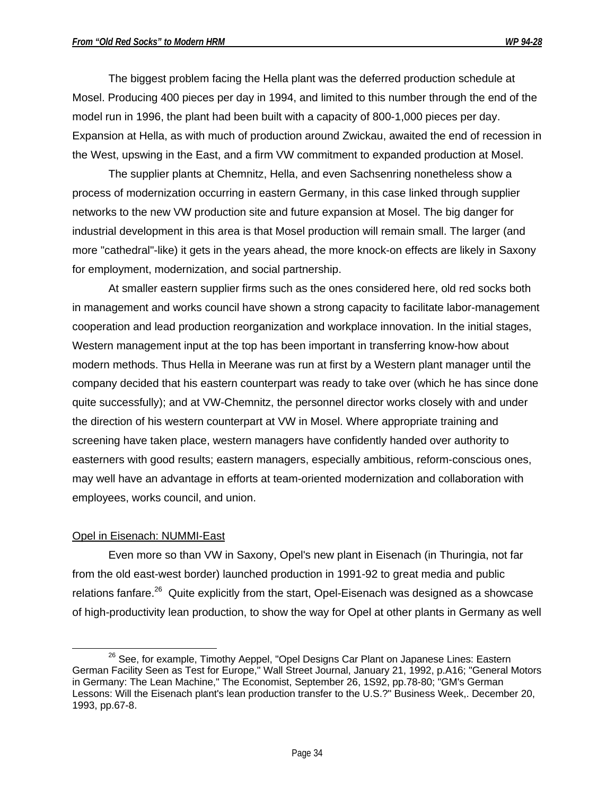The biggest problem facing the Hella plant was the deferred production schedule at Mosel. Producing 400 pieces per day in 1994, and limited to this number through the end of the model run in 1996, the plant had been built with a capacity of 800-1,000 pieces per day. Expansion at Hella, as with much of production around Zwickau, awaited the end of recession in the West, upswing in the East, and a firm VW commitment to expanded production at Mosel.

The supplier plants at Chemnitz, Hella, and even Sachsenring nonetheless show a process of modernization occurring in eastern Germany, in this case linked through supplier networks to the new VW production site and future expansion at Mosel. The big danger for industrial development in this area is that Mosel production will remain small. The larger (and more "cathedral"-like) it gets in the years ahead, the more knock-on effects are likely in Saxony for employment, modernization, and social partnership.

At smaller eastern supplier firms such as the ones considered here, old red socks both in management and works council have shown a strong capacity to facilitate labor-management cooperation and lead production reorganization and workplace innovation. In the initial stages, Western management input at the top has been important in transferring know-how about modern methods. Thus Hella in Meerane was run at first by a Western plant manager until the company decided that his eastern counterpart was ready to take over (which he has since done quite successfully); and at VW-Chemnitz, the personnel director works closely with and under the direction of his western counterpart at VW in Mosel. Where appropriate training and screening have taken place, western managers have confidently handed over authority to easterners with good results; eastern managers, especially ambitious, reform-conscious ones, may well have an advantage in efforts at team-oriented modernization and collaboration with employees, works council, and union.

# Opel in Eisenach: NUMMI-East

Even more so than VW in Saxony, Opel's new plant in Eisenach (in Thuringia, not far from the old east-west border) launched production in 1991-92 to great media and public relations fanfare.<sup>26</sup> Quite explicitly from the start, Opel-Eisenach was designed as a showcase of high-productivity lean production, to show the way for Opel at other plants in Germany as well

<sup>-</sup><sup>26</sup> See, for example, Timothy Aeppel, "Opel Designs Car Plant on Japanese Lines: Eastern German Facility Seen as Test for Europe," Wall Street Journal, January 21, 1992, p.A16; "General Motors in Germany: The Lean Machine," The Economist, September 26, 1S92, pp.78-80; "GM's German Lessons: Will the Eisenach plant's lean production transfer to the U.S.?" Business Week,. December 20, 1993, pp.67-8.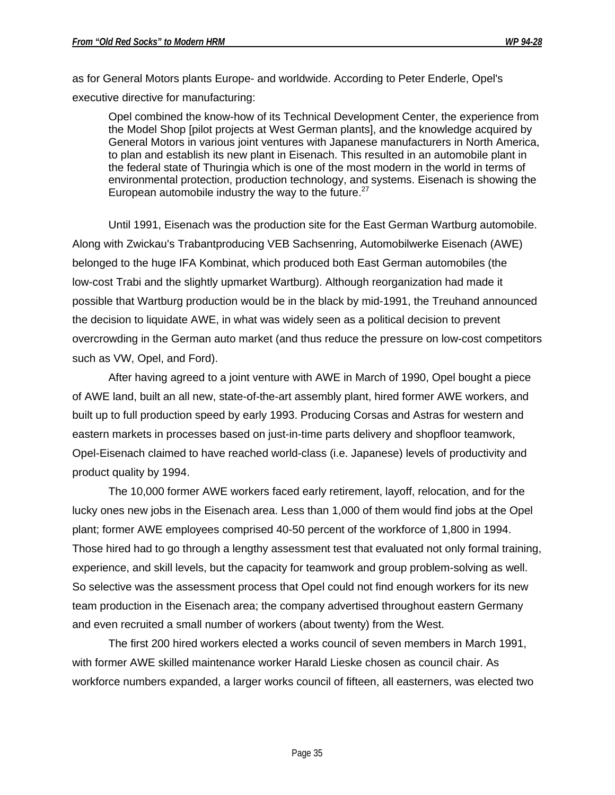as for General Motors plants Europe- and worldwide. According to Peter Enderle, Opel's executive directive for manufacturing:

Opel combined the know-how of its Technical Development Center, the experience from the Model Shop [pilot projects at West German plants], and the knowledge acquired by General Motors in various joint ventures with Japanese manufacturers in North America, to plan and establish its new plant in Eisenach. This resulted in an automobile plant in the federal state of Thuringia which is one of the most modern in the world in terms of environmental protection, production technology, and systems. Eisenach is showing the European automobile industry the way to the future. $27$ 

Until 1991, Eisenach was the production site for the East German Wartburg automobile. Along with Zwickau's Trabantproducing VEB Sachsenring, Automobilwerke Eisenach (AWE) belonged to the huge IFA Kombinat, which produced both East German automobiles (the low-cost Trabi and the slightly upmarket Wartburg). Although reorganization had made it possible that Wartburg production would be in the black by mid-1991, the Treuhand announced the decision to liquidate AWE, in what was widely seen as a political decision to prevent overcrowding in the German auto market (and thus reduce the pressure on low-cost competitors such as VW, Opel, and Ford).

After having agreed to a joint venture with AWE in March of 1990, Opel bought a piece of AWE land, built an all new, state-of-the-art assembly plant, hired former AWE workers, and built up to full production speed by early 1993. Producing Corsas and Astras for western and eastern markets in processes based on just-in-time parts delivery and shopfloor teamwork, Opel-Eisenach claimed to have reached world-class (i.e. Japanese) levels of productivity and product quality by 1994.

The 10,000 former AWE workers faced early retirement, layoff, relocation, and for the lucky ones new jobs in the Eisenach area. Less than 1,000 of them would find jobs at the Opel plant; former AWE employees comprised 40-50 percent of the workforce of 1,800 in 1994. Those hired had to go through a lengthy assessment test that evaluated not only formal training, experience, and skill levels, but the capacity for teamwork and group problem-solving as well. So selective was the assessment process that Opel could not find enough workers for its new team production in the Eisenach area; the company advertised throughout eastern Germany and even recruited a small number of workers (about twenty) from the West.

The first 200 hired workers elected a works council of seven members in March 1991, with former AWE skilled maintenance worker Harald Lieske chosen as council chair. As workforce numbers expanded, a larger works council of fifteen, all easterners, was elected two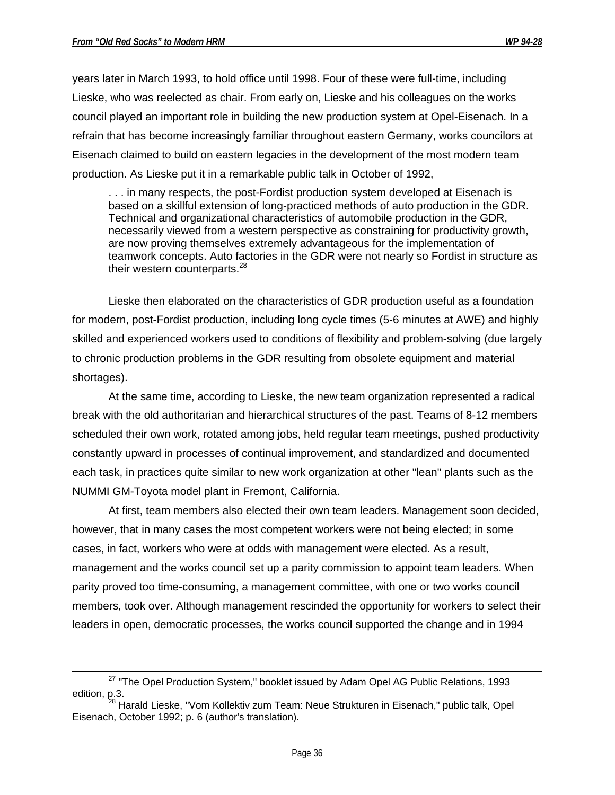$\overline{a}$ 

years later in March 1993, to hold office until 1998. Four of these were full-time, including Lieske, who was reelected as chair. From early on, Lieske and his colleagues on the works council played an important role in building the new production system at Opel-Eisenach. In a refrain that has become increasingly familiar throughout eastern Germany, works councilors at Eisenach claimed to build on eastern legacies in the development of the most modern team production. As Lieske put it in a remarkable public talk in October of 1992,

. . . in many respects, the post-Fordist production system developed at Eisenach is based on a skillful extension of long-practiced methods of auto production in the GDR. Technical and organizational characteristics of automobile production in the GDR, necessarily viewed from a western perspective as constraining for productivity growth, are now proving themselves extremely advantageous for the implementation of teamwork concepts. Auto factories in the GDR were not nearly so Fordist in structure as their western counterparts.<sup>28</sup>

Lieske then elaborated on the characteristics of GDR production useful as a foundation for modern, post-Fordist production, including long cycle times (5-6 minutes at AWE) and highly skilled and experienced workers used to conditions of flexibility and problem-solving (due largely to chronic production problems in the GDR resulting from obsolete equipment and material shortages).

At the same time, according to Lieske, the new team organization represented a radical break with the old authoritarian and hierarchical structures of the past. Teams of 8-12 members scheduled their own work, rotated among jobs, held regular team meetings, pushed productivity constantly upward in processes of continual improvement, and standardized and documented each task, in practices quite similar to new work organization at other "lean" plants such as the NUMMI GM-Toyota model plant in Fremont, California.

At first, team members also elected their own team leaders. Management soon decided, however, that in many cases the most competent workers were not being elected; in some cases, in fact, workers who were at odds with management were elected. As a result, management and the works council set up a parity commission to appoint team leaders. When parity proved too time-consuming, a management committee, with one or two works council members, took over. Although management rescinded the opportunity for workers to select their leaders in open, democratic processes, the works council supported the change and in 1994

<sup>&</sup>lt;sup>27</sup> "The Opel Production System," booklet issued by Adam Opel AG Public Relations, 1993 edition, p.3.

<sup>&</sup>lt;sup>28</sup> Harald Lieske. "Vom Kollektiv zum Team: Neue Strukturen in Eisenach," public talk, Opel Eisenach, October 1992; p. 6 (author's translation).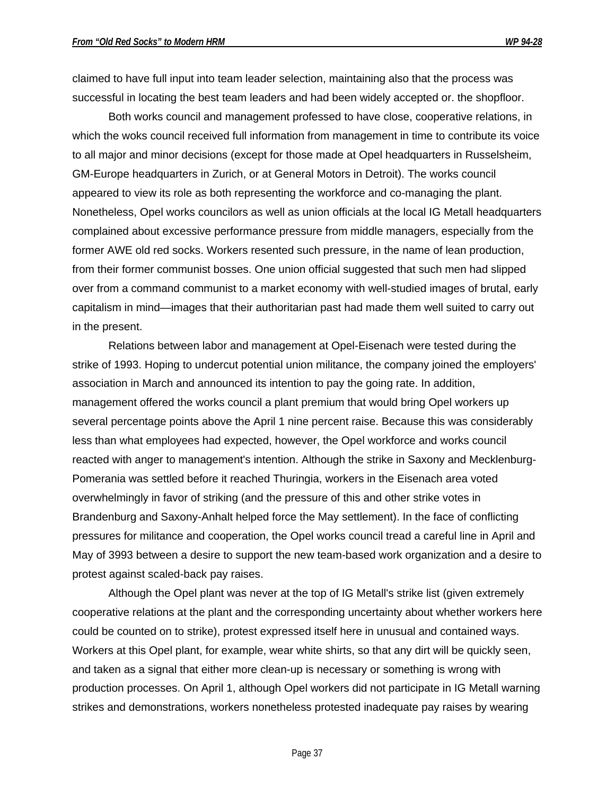claimed to have full input into team leader selection, maintaining also that the process was successful in locating the best team leaders and had been widely accepted or. the shopfloor.

Both works council and management professed to have close, cooperative relations, in which the woks council received full information from management in time to contribute its voice to all major and minor decisions (except for those made at Opel headquarters in Russelsheim, GM-Europe headquarters in Zurich, or at General Motors in Detroit). The works council appeared to view its role as both representing the workforce and co-managing the plant. Nonetheless, Opel works councilors as well as union officials at the local IG Metall headquarters complained about excessive performance pressure from middle managers, especially from the former AWE old red socks. Workers resented such pressure, in the name of lean production, from their former communist bosses. One union official suggested that such men had slipped over from a command communist to a market economy with well-studied images of brutal, early capitalism in mind—images that their authoritarian past had made them well suited to carry out in the present.

Relations between labor and management at Opel-Eisenach were tested during the strike of 1993. Hoping to undercut potential union militance, the company joined the employers' association in March and announced its intention to pay the going rate. In addition, management offered the works council a plant premium that would bring Opel workers up several percentage points above the April 1 nine percent raise. Because this was considerably less than what employees had expected, however, the Opel workforce and works council reacted with anger to management's intention. Although the strike in Saxony and Mecklenburg-Pomerania was settled before it reached Thuringia, workers in the Eisenach area voted overwhelmingly in favor of striking (and the pressure of this and other strike votes in Brandenburg and Saxony-Anhalt helped force the May settlement). In the face of conflicting pressures for militance and cooperation, the Opel works council tread a careful line in April and May of 3993 between a desire to support the new team-based work organization and a desire to protest against scaled-back pay raises.

Although the Opel plant was never at the top of IG Metall's strike list (given extremely cooperative relations at the plant and the corresponding uncertainty about whether workers here could be counted on to strike), protest expressed itself here in unusual and contained ways. Workers at this Opel plant, for example, wear white shirts, so that any dirt will be quickly seen, and taken as a signal that either more clean-up is necessary or something is wrong with production processes. On April 1, although Opel workers did not participate in IG Metall warning strikes and demonstrations, workers nonetheless protested inadequate pay raises by wearing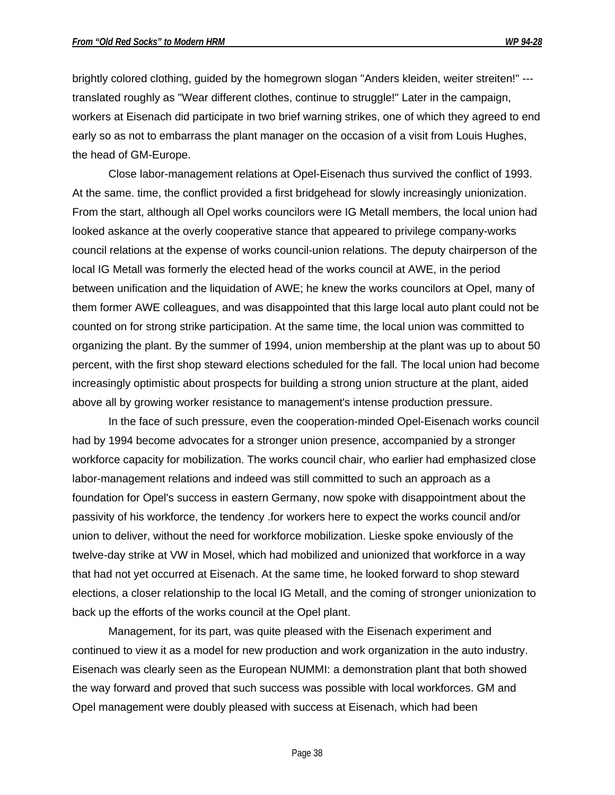brightly colored clothing, guided by the homegrown slogan "Anders kleiden, weiter streiten!" -- translated roughly as "Wear different clothes, continue to struggle!" Later in the campaign, workers at Eisenach did participate in two brief warning strikes, one of which they agreed to end early so as not to embarrass the plant manager on the occasion of a visit from Louis Hughes, the head of GM-Europe.

Close labor-management relations at Opel-Eisenach thus survived the conflict of 1993. At the same. time, the conflict provided a first bridgehead for slowly increasingly unionization. From the start, although all Opel works councilors were IG Metall members, the local union had looked askance at the overly cooperative stance that appeared to privilege company-works council relations at the expense of works council-union relations. The deputy chairperson of the local IG Metall was formerly the elected head of the works council at AWE, in the period between unification and the liquidation of AWE; he knew the works councilors at Opel, many of them former AWE colleagues, and was disappointed that this large local auto plant could not be counted on for strong strike participation. At the same time, the local union was committed to organizing the plant. By the summer of 1994, union membership at the plant was up to about 50 percent, with the first shop steward elections scheduled for the fall. The local union had become increasingly optimistic about prospects for building a strong union structure at the plant, aided above all by growing worker resistance to management's intense production pressure.

In the face of such pressure, even the cooperation-minded Opel-Eisenach works council had by 1994 become advocates for a stronger union presence, accompanied by a stronger workforce capacity for mobilization. The works council chair, who earlier had emphasized close labor-management relations and indeed was still committed to such an approach as a foundation for Opel's success in eastern Germany, now spoke with disappointment about the passivity of his workforce, the tendency .for workers here to expect the works council and/or union to deliver, without the need for workforce mobilization. Lieske spoke enviously of the twelve-day strike at VW in Mosel, which had mobilized and unionized that workforce in a way that had not yet occurred at Eisenach. At the same time, he looked forward to shop steward elections, a closer relationship to the local IG Metall, and the coming of stronger unionization to back up the efforts of the works council at the Opel plant.

Management, for its part, was quite pleased with the Eisenach experiment and continued to view it as a model for new production and work organization in the auto industry. Eisenach was clearly seen as the European NUMMI: a demonstration plant that both showed the way forward and proved that such success was possible with local workforces. GM and Opel management were doubly pleased with success at Eisenach, which had been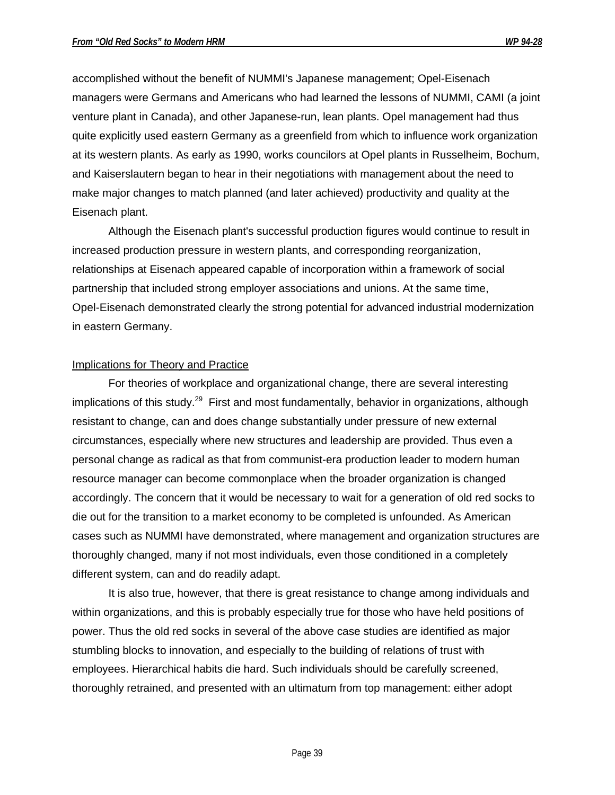accomplished without the benefit of NUMMI's Japanese management; Opel-Eisenach managers were Germans and Americans who had learned the lessons of NUMMI, CAMI (a joint venture plant in Canada), and other Japanese-run, lean plants. Opel management had thus quite explicitly used eastern Germany as a greenfield from which to influence work organization at its western plants. As early as 1990, works councilors at Opel plants in Russelheim, Bochum, and Kaiserslautern began to hear in their negotiations with management about the need to make major changes to match planned (and later achieved) productivity and quality at the Eisenach plant.

Although the Eisenach plant's successful production figures would continue to result in increased production pressure in western plants, and corresponding reorganization, relationships at Eisenach appeared capable of incorporation within a framework of social partnership that included strong employer associations and unions. At the same time, Opel-Eisenach demonstrated clearly the strong potential for advanced industrial modernization in eastern Germany.

#### Implications for Theory and Practice

For theories of workplace and organizational change, there are several interesting implications of this study.<sup>29</sup> First and most fundamentally, behavior in organizations, although resistant to change, can and does change substantially under pressure of new external circumstances, especially where new structures and leadership are provided. Thus even a personal change as radical as that from communist-era production leader to modern human resource manager can become commonplace when the broader organization is changed accordingly. The concern that it would be necessary to wait for a generation of old red socks to die out for the transition to a market economy to be completed is unfounded. As American cases such as NUMMI have demonstrated, where management and organization structures are thoroughly changed, many if not most individuals, even those conditioned in a completely different system, can and do readily adapt.

It is also true, however, that there is great resistance to change among individuals and within organizations, and this is probably especially true for those who have held positions of power. Thus the old red socks in several of the above case studies are identified as major stumbling blocks to innovation, and especially to the building of relations of trust with employees. Hierarchical habits die hard. Such individuals should be carefully screened, thoroughly retrained, and presented with an ultimatum from top management: either adopt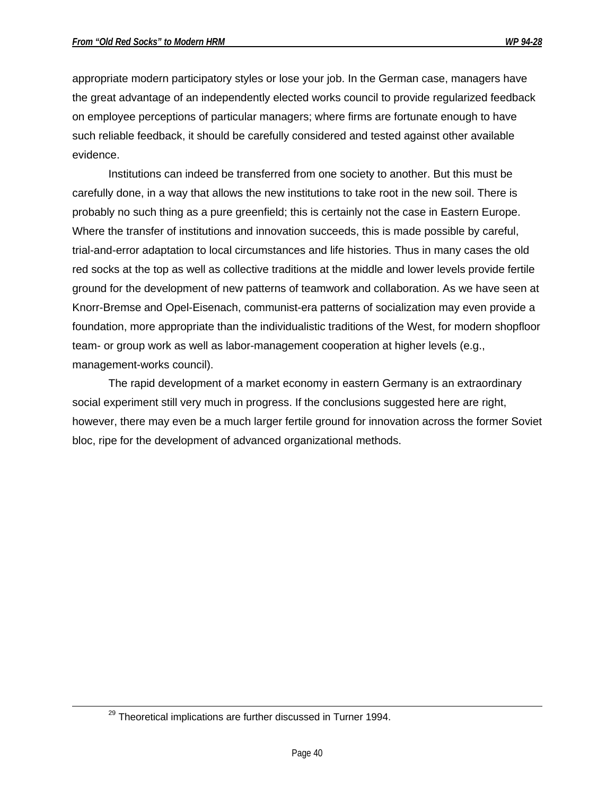appropriate modern participatory styles or lose your job. In the German case, managers have the great advantage of an independently elected works council to provide regularized feedback on employee perceptions of particular managers; where firms are fortunate enough to have such reliable feedback, it should be carefully considered and tested against other available evidence.

Institutions can indeed be transferred from one society to another. But this must be carefully done, in a way that allows the new institutions to take root in the new soil. There is probably no such thing as a pure greenfield; this is certainly not the case in Eastern Europe. Where the transfer of institutions and innovation succeeds, this is made possible by careful, trial-and-error adaptation to local circumstances and life histories. Thus in many cases the old red socks at the top as well as collective traditions at the middle and lower levels provide fertile ground for the development of new patterns of teamwork and collaboration. As we have seen at Knorr-Bremse and Opel-Eisenach, communist-era patterns of socialization may even provide a foundation, more appropriate than the individualistic traditions of the West, for modern shopfloor team- or group work as well as labor-management cooperation at higher levels (e.g., management-works council).

The rapid development of a market economy in eastern Germany is an extraordinary social experiment still very much in progress. If the conclusions suggested here are right, however, there may even be a much larger fertile ground for innovation across the former Soviet bloc, ripe for the development of advanced organizational methods.

 $\overline{a}$ 

<sup>&</sup>lt;sup>29</sup> Theoretical implications are further discussed in Turner 1994.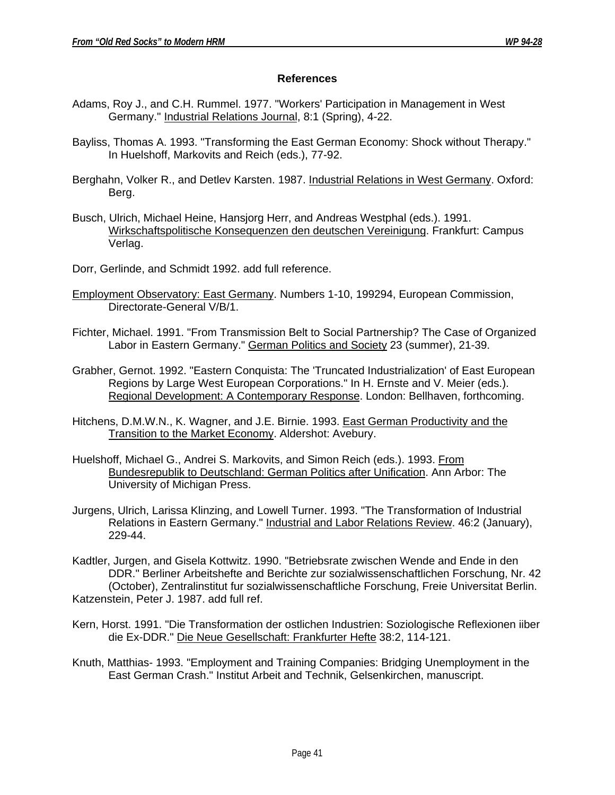## **References**

- Adams, Roy J., and C.H. Rummel. 1977. "Workers' Participation in Management in West Germany." Industrial Relations Journal, 8:1 (Spring), 4-22.
- Bayliss, Thomas A. 1993. "Transforming the East German Economy: Shock without Therapy." In Huelshoff, Markovits and Reich (eds.), 77-92.
- Berghahn, Volker R., and Detlev Karsten. 1987. Industrial Relations in West Germany. Oxford: Berg.
- Busch, Ulrich, Michael Heine, Hansjorg Herr, and Andreas Westphal (eds.). 1991. Wirkschaftspolitische Konsequenzen den deutschen Vereinigung. Frankfurt: Campus Verlag.
- Dorr, Gerlinde, and Schmidt 1992. add full reference.
- Employment Observatory: East Germany. Numbers 1-10, 199294, European Commission, Directorate-General V/B/1.
- Fichter, Michael. 1991. "From Transmission Belt to Social Partnership? The Case of Organized Labor in Eastern Germany." German Politics and Society 23 (summer), 21-39.
- Grabher, Gernot. 1992. "Eastern Conquista: The 'Truncated Industrialization' of East European Regions by Large West European Corporations." In H. Ernste and V. Meier (eds.). Regional Development: A Contemporary Response. London: Bellhaven, forthcoming.
- Hitchens, D.M.W.N., K. Wagner, and J.E. Birnie. 1993. East German Productivity and the Transition to the Market Economy. Aldershot: Avebury.
- Huelshoff, Michael G., Andrei S. Markovits, and Simon Reich (eds.). 1993. From Bundesrepublik to Deutschland: German Politics after Unification. Ann Arbor: The University of Michigan Press.
- Jurgens, Ulrich, Larissa Klinzing, and Lowell Turner. 1993. "The Transformation of Industrial Relations in Eastern Germany." Industrial and Labor Relations Review. 46:2 (January), 229-44.
- Kadtler, Jurgen, and Gisela Kottwitz. 1990. "Betriebsrate zwischen Wende and Ende in den DDR." Berliner Arbeitshefte and Berichte zur sozialwissenschaftlichen Forschung, Nr. 42 (October), Zentralinstitut fur sozialwissenschaftliche Forschung, Freie Universitat Berlin. Katzenstein, Peter J. 1987. add full ref.
- Kern, Horst. 1991. "Die Transformation der ostlichen Industrien: Soziologische Reflexionen iiber die Ex-DDR." Die Neue Gesellschaft: Frankfurter Hefte 38:2, 114-121.
- Knuth, Matthias- 1993. "Employment and Training Companies: Bridging Unemployment in the East German Crash." Institut Arbeit and Technik, Gelsenkirchen, manuscript.